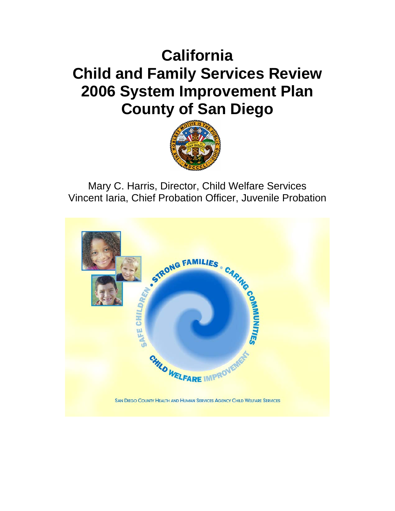# **California Child and Family Services Review 2006 System Improvement Plan County of San Diego**



Mary C. Harris, Director, Child Welfare Services Vincent Iaria, Chief Probation Officer, Juvenile Probation

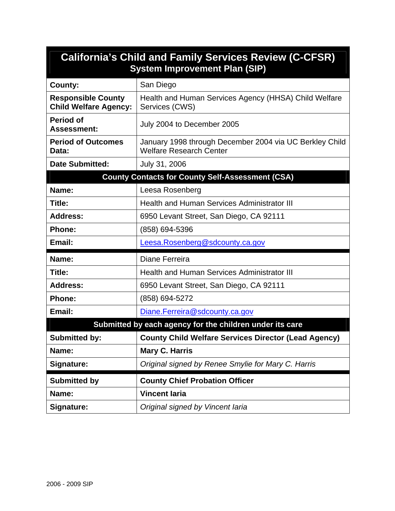| <b>California's Child and Family Services Review (C-CFSR)</b><br><b>System Improvement Plan (SIP)</b> |                                                                                           |  |  |  |  |  |  |  |
|-------------------------------------------------------------------------------------------------------|-------------------------------------------------------------------------------------------|--|--|--|--|--|--|--|
| <b>County:</b>                                                                                        | San Diego                                                                                 |  |  |  |  |  |  |  |
| <b>Responsible County</b><br><b>Child Welfare Agency:</b>                                             | Health and Human Services Agency (HHSA) Child Welfare<br>Services (CWS)                   |  |  |  |  |  |  |  |
| <b>Period of</b><br><b>Assessment:</b>                                                                | July 2004 to December 2005                                                                |  |  |  |  |  |  |  |
| <b>Period of Outcomes</b><br>Data:                                                                    | January 1998 through December 2004 via UC Berkley Child<br><b>Welfare Research Center</b> |  |  |  |  |  |  |  |
| <b>Date Submitted:</b>                                                                                | July 31, 2006                                                                             |  |  |  |  |  |  |  |
|                                                                                                       | <b>County Contacts for County Self-Assessment (CSA)</b>                                   |  |  |  |  |  |  |  |
| Name:                                                                                                 | Leesa Rosenberg                                                                           |  |  |  |  |  |  |  |
| Title:                                                                                                | <b>Health and Human Services Administrator III</b>                                        |  |  |  |  |  |  |  |
| <b>Address:</b>                                                                                       | 6950 Levant Street, San Diego, CA 92111                                                   |  |  |  |  |  |  |  |
| <b>Phone:</b>                                                                                         | (858) 694-5396                                                                            |  |  |  |  |  |  |  |
| Email:                                                                                                | Leesa.Rosenberg@sdcounty.ca.gov                                                           |  |  |  |  |  |  |  |
| Name:                                                                                                 | Diane Ferreira                                                                            |  |  |  |  |  |  |  |
| Title:                                                                                                | <b>Health and Human Services Administrator III</b>                                        |  |  |  |  |  |  |  |
| <b>Address:</b>                                                                                       | 6950 Levant Street, San Diego, CA 92111                                                   |  |  |  |  |  |  |  |
| <b>Phone:</b>                                                                                         | (858) 694-5272                                                                            |  |  |  |  |  |  |  |
| Email:                                                                                                | Diane.Ferreira@sdcounty.ca.gov                                                            |  |  |  |  |  |  |  |
|                                                                                                       | Submitted by each agency for the children under its care                                  |  |  |  |  |  |  |  |
| <b>Submitted by:</b>                                                                                  | <b>County Child Welfare Services Director (Lead Agency)</b>                               |  |  |  |  |  |  |  |
| Name:                                                                                                 | <b>Mary C. Harris</b>                                                                     |  |  |  |  |  |  |  |
| Signature:                                                                                            | Original signed by Renee Smylie for Mary C. Harris                                        |  |  |  |  |  |  |  |
| <b>Submitted by</b>                                                                                   | <b>County Chief Probation Officer</b>                                                     |  |  |  |  |  |  |  |
| Name:                                                                                                 | <b>Vincent laria</b>                                                                      |  |  |  |  |  |  |  |
| Signature:                                                                                            | Original signed by Vincent laria                                                          |  |  |  |  |  |  |  |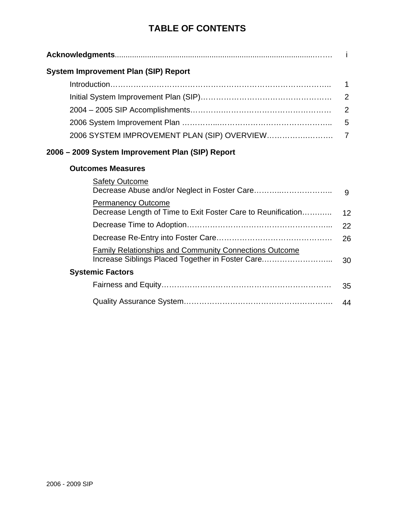## **TABLE OF CONTENTS**

| <b>System Improvement Plan (SIP) Report</b>                                                                       |                |  |  |  |  |  |
|-------------------------------------------------------------------------------------------------------------------|----------------|--|--|--|--|--|
|                                                                                                                   | 1              |  |  |  |  |  |
|                                                                                                                   |                |  |  |  |  |  |
|                                                                                                                   | 2              |  |  |  |  |  |
|                                                                                                                   | 5              |  |  |  |  |  |
| 2006 SYSTEM IMPROVEMENT PLAN (SIP) OVERVIEW                                                                       | $\overline{7}$ |  |  |  |  |  |
| 2006 – 2009 System Improvement Plan (SIP) Report                                                                  |                |  |  |  |  |  |
| <b>Outcomes Measures</b>                                                                                          |                |  |  |  |  |  |
| <b>Safety Outcome</b>                                                                                             | 9              |  |  |  |  |  |
| <b>Permanency Outcome</b><br>Decrease Length of Time to Exit Foster Care to Reunification                         | 12             |  |  |  |  |  |
|                                                                                                                   | 22             |  |  |  |  |  |
|                                                                                                                   | 26             |  |  |  |  |  |
| <b>Family Relationships and Community Connections Outcome</b><br>Increase Siblings Placed Together in Foster Care | 30             |  |  |  |  |  |
| <b>Systemic Factors</b>                                                                                           |                |  |  |  |  |  |
|                                                                                                                   | 35             |  |  |  |  |  |

| 44 |
|----|
|    |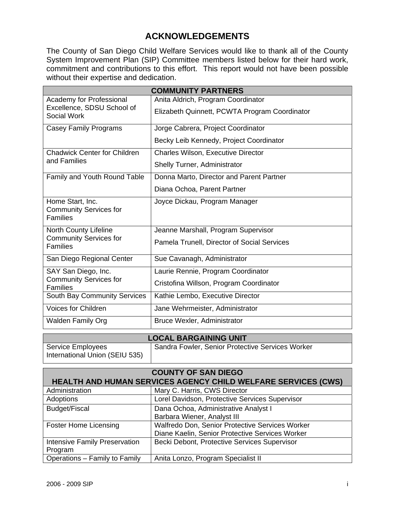## **ACKNOWLEDGEMENTS**

The County of San Diego Child Welfare Services would like to thank all of the County System Improvement Plan (SIP) Committee members listed below for their hard work, commitment and contributions to this effort. This report would not have been possible without their expertise and dedication.

| <b>COMMUNITY PARTNERS</b>                                            |                                               |  |  |  |  |  |  |
|----------------------------------------------------------------------|-----------------------------------------------|--|--|--|--|--|--|
| Academy for Professional                                             | Anita Aldrich, Program Coordinator            |  |  |  |  |  |  |
| Excellence, SDSU School of<br><b>Social Work</b>                     | Elizabeth Quinnett, PCWTA Program Coordinator |  |  |  |  |  |  |
| <b>Casey Family Programs</b>                                         | Jorge Cabrera, Project Coordinator            |  |  |  |  |  |  |
|                                                                      | Becky Leib Kennedy, Project Coordinator       |  |  |  |  |  |  |
| <b>Chadwick Center for Children</b>                                  | <b>Charles Wilson, Executive Director</b>     |  |  |  |  |  |  |
| and Families                                                         | <b>Shelly Turner, Administrator</b>           |  |  |  |  |  |  |
| Family and Youth Round Table                                         | Donna Marto, Director and Parent Partner      |  |  |  |  |  |  |
|                                                                      | Diana Ochoa, Parent Partner                   |  |  |  |  |  |  |
| Home Start, Inc.<br><b>Community Services for</b><br><b>Families</b> | Joyce Dickau, Program Manager                 |  |  |  |  |  |  |
| North County Lifeline                                                | Jeanne Marshall, Program Supervisor           |  |  |  |  |  |  |
| <b>Community Services for</b><br><b>Families</b>                     | Pamela Trunell, Director of Social Services   |  |  |  |  |  |  |
| San Diego Regional Center                                            | Sue Cavanagh, Administrator                   |  |  |  |  |  |  |
| SAY San Diego, Inc.                                                  | Laurie Rennie, Program Coordinator            |  |  |  |  |  |  |
| <b>Community Services for</b><br><b>Families</b>                     | Cristofina Willson, Program Coordinator       |  |  |  |  |  |  |
| South Bay Community Services                                         | Kathie Lembo, Executive Director              |  |  |  |  |  |  |
| <b>Voices for Children</b>                                           | Jane Wehrmeister, Administrator               |  |  |  |  |  |  |
| <b>Walden Family Org</b>                                             | <b>Bruce Wexler, Administrator</b>            |  |  |  |  |  |  |

| <b>LOCAL BARGAINING UNIT</b>   |                                                  |  |  |  |  |  |  |
|--------------------------------|--------------------------------------------------|--|--|--|--|--|--|
| Service Employees              | Sandra Fowler, Senior Protective Services Worker |  |  |  |  |  |  |
| International Union (SEIU 535) |                                                  |  |  |  |  |  |  |

| <b>COUNTY OF SAN DIEGO</b>                                    |                                                 |  |  |  |  |  |  |  |
|---------------------------------------------------------------|-------------------------------------------------|--|--|--|--|--|--|--|
| HEALTH AND HUMAN SERVICES AGENCY CHILD WELFARE SERVICES (CWS) |                                                 |  |  |  |  |  |  |  |
| Administration                                                | Mary C. Harris, CWS Director                    |  |  |  |  |  |  |  |
| Adoptions                                                     | Lorel Davidson, Protective Services Supervisor  |  |  |  |  |  |  |  |
| Budget/Fiscal                                                 | Dana Ochoa, Administrative Analyst I            |  |  |  |  |  |  |  |
|                                                               | Barbara Wiener, Analyst III                     |  |  |  |  |  |  |  |
| <b>Foster Home Licensing</b>                                  | Walfredo Don, Senior Protective Services Worker |  |  |  |  |  |  |  |
|                                                               | Diane Kaelin, Senior Protective Services Worker |  |  |  |  |  |  |  |
| Intensive Family Preservation                                 | Becki Debont, Protective Services Supervisor    |  |  |  |  |  |  |  |
| Program                                                       |                                                 |  |  |  |  |  |  |  |
| Operations - Family to Family                                 | Anita Lonzo, Program Specialist II              |  |  |  |  |  |  |  |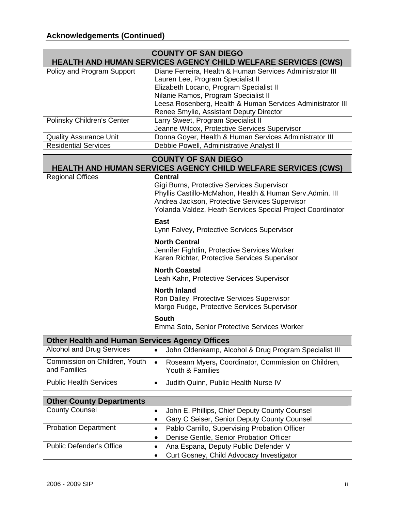|                                                       | <b>COUNTY OF SAN DIEGO</b>                                                                                   |  |  |  |  |  |  |  |
|-------------------------------------------------------|--------------------------------------------------------------------------------------------------------------|--|--|--|--|--|--|--|
|                                                       | <b>HEALTH AND HUMAN SERVICES AGENCY CHILD WELFARE SERVICES (CWS)</b>                                         |  |  |  |  |  |  |  |
| Policy and Program Support                            | Diane Ferreira, Health & Human Services Administrator III                                                    |  |  |  |  |  |  |  |
|                                                       | Lauren Lee, Program Specialist II                                                                            |  |  |  |  |  |  |  |
|                                                       | Elizabeth Locano, Program Specialist II                                                                      |  |  |  |  |  |  |  |
|                                                       | Nilanie Ramos, Program Specialist II                                                                         |  |  |  |  |  |  |  |
|                                                       | Leesa Rosenberg, Health & Human Services Administrator III                                                   |  |  |  |  |  |  |  |
|                                                       | Renee Smylie, Assistant Deputy Director                                                                      |  |  |  |  |  |  |  |
| Polinsky Children's Center                            | Larry Sweet, Program Specialist II                                                                           |  |  |  |  |  |  |  |
|                                                       | Jeanne Wilcox, Protective Services Supervisor                                                                |  |  |  |  |  |  |  |
| <b>Quality Assurance Unit</b>                         | Donna Goyer, Health & Human Services Administrator III                                                       |  |  |  |  |  |  |  |
| <b>Residential Services</b>                           | Debbie Powell, Administrative Analyst II                                                                     |  |  |  |  |  |  |  |
|                                                       | <b>COUNTY OF SAN DIEGO</b>                                                                                   |  |  |  |  |  |  |  |
|                                                       | <b>HEALTH AND HUMAN SERVICES AGENCY CHILD WELFARE SERVICES (CWS)</b>                                         |  |  |  |  |  |  |  |
| <b>Regional Offices</b>                               | <b>Central</b>                                                                                               |  |  |  |  |  |  |  |
|                                                       | Gigi Burns, Protective Services Supervisor                                                                   |  |  |  |  |  |  |  |
|                                                       | Phyllis Castillo-McMahon, Health & Human Serv.Admin. III                                                     |  |  |  |  |  |  |  |
|                                                       | Andrea Jackson, Protective Services Supervisor<br>Yolanda Valdez, Heath Services Special Project Coordinator |  |  |  |  |  |  |  |
|                                                       |                                                                                                              |  |  |  |  |  |  |  |
|                                                       | <b>East</b>                                                                                                  |  |  |  |  |  |  |  |
|                                                       | Lynn Falvey, Protective Services Supervisor                                                                  |  |  |  |  |  |  |  |
|                                                       | <b>North Central</b>                                                                                         |  |  |  |  |  |  |  |
|                                                       | Jennifer Fightlin, Protective Services Worker                                                                |  |  |  |  |  |  |  |
|                                                       | Karen Richter, Protective Services Supervisor                                                                |  |  |  |  |  |  |  |
|                                                       | <b>North Coastal</b>                                                                                         |  |  |  |  |  |  |  |
|                                                       |                                                                                                              |  |  |  |  |  |  |  |
|                                                       | Leah Kahn, Protective Services Supervisor                                                                    |  |  |  |  |  |  |  |
|                                                       | <b>North Inland</b>                                                                                          |  |  |  |  |  |  |  |
|                                                       | Ron Dailey, Protective Services Supervisor                                                                   |  |  |  |  |  |  |  |
|                                                       | Margo Fudge, Protective Services Supervisor                                                                  |  |  |  |  |  |  |  |
|                                                       | <b>South</b>                                                                                                 |  |  |  |  |  |  |  |
|                                                       | Emma Soto, Senior Protective Services Worker                                                                 |  |  |  |  |  |  |  |
|                                                       |                                                                                                              |  |  |  |  |  |  |  |
| <b>Other Health and Human Services Agency Offices</b> |                                                                                                              |  |  |  |  |  |  |  |
| <b>Alcohol and Drug Services</b>                      | John Oldenkamp, Alcohol & Drug Program Specialist III<br>$\bullet$                                           |  |  |  |  |  |  |  |
| Commission on Children, Youth                         | Roseann Myers, Coordinator, Commission on Children,<br>$\bullet$                                             |  |  |  |  |  |  |  |
| and Families                                          | Youth & Families                                                                                             |  |  |  |  |  |  |  |
| <b>Public Health Services</b>                         | Judith Quinn, Public Health Nurse IV<br>$\bullet$                                                            |  |  |  |  |  |  |  |
|                                                       |                                                                                                              |  |  |  |  |  |  |  |
| <b>Other County Departments</b>                       |                                                                                                              |  |  |  |  |  |  |  |
| <b>County Counsel</b>                                 | John E. Phillips, Chief Deputy County Counsel<br>$\bullet$                                                   |  |  |  |  |  |  |  |
|                                                       | Gary C Seiser, Senior Deputy County Counsel<br>$\bullet$                                                     |  |  |  |  |  |  |  |
| <b>Probation Department</b>                           |                                                                                                              |  |  |  |  |  |  |  |
|                                                       | Pablo Carrillo, Supervising Probation Officer<br>$\bullet$                                                   |  |  |  |  |  |  |  |
|                                                       | Denise Gentle, Senior Probation Officer<br>$\bullet$                                                         |  |  |  |  |  |  |  |
| <b>Public Defender's Office</b>                       | Ana Espana, Deputy Public Defender V<br>$\bullet$                                                            |  |  |  |  |  |  |  |
|                                                       | Curt Gosney, Child Advocacy Investigator<br>$\bullet$                                                        |  |  |  |  |  |  |  |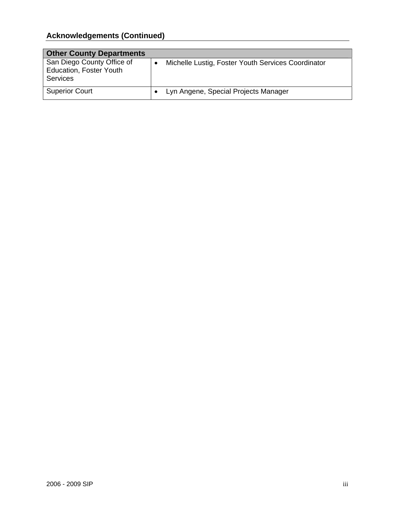## **Acknowledgements (Continued)**

| <b>Other County Departments</b>                                                 |                                                    |
|---------------------------------------------------------------------------------|----------------------------------------------------|
| San Diego County Office of<br><b>Education, Foster Youth</b><br><b>Services</b> | Michelle Lustig, Foster Youth Services Coordinator |
| <b>Superior Court</b>                                                           | Lyn Angene, Special Projects Manager               |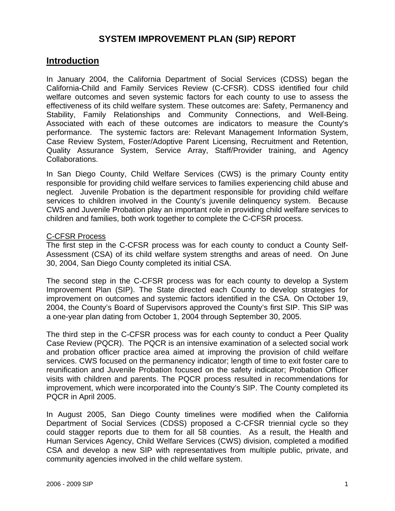## **SYSTEM IMPROVEMENT PLAN (SIP) REPORT**

### **Introduction**

In January 2004, the California Department of Social Services (CDSS) began the California-Child and Family Services Review (C-CFSR). CDSS identified four child welfare outcomes and seven systemic factors for each county to use to assess the effectiveness of its child welfare system. These outcomes are: Safety, Permanency and Stability, Family Relationships and Community Connections, and Well-Being. Associated with each of these outcomes are indicators to measure the County's performance. The systemic factors are: Relevant Management Information System, Case Review System, Foster/Adoptive Parent Licensing, Recruitment and Retention, Quality Assurance System, Service Array, Staff/Provider training, and Agency Collaborations.

In San Diego County, Child Welfare Services (CWS) is the primary County entity responsible for providing child welfare services to families experiencing child abuse and neglect. Juvenile Probation is the department responsible for providing child welfare services to children involved in the County's juvenile delinquency system. Because CWS and Juvenile Probation play an important role in providing child welfare services to children and families, both work together to complete the C-CFSR process.

#### C-CFSR Process

The first step in the C-CFSR process was for each county to conduct a County Self-Assessment (CSA) of its child welfare system strengths and areas of need. On June 30, 2004, San Diego County completed its initial CSA.

The second step in the C-CFSR process was for each county to develop a System Improvement Plan (SIP). The State directed each County to develop strategies for improvement on outcomes and systemic factors identified in the CSA. On October 19, 2004, the County's Board of Supervisors approved the County's first SIP. This SIP was a one-year plan dating from October 1, 2004 through September 30, 2005.

The third step in the C-CFSR process was for each county to conduct a Peer Quality Case Review (PQCR). The PQCR is an intensive examination of a selected social work and probation officer practice area aimed at improving the provision of child welfare services. CWS focused on the permanency indicator; length of time to exit foster care to reunification and Juvenile Probation focused on the safety indicator; Probation Officer visits with children and parents. The PQCR process resulted in recommendations for improvement, which were incorporated into the County's SIP. The County completed its PQCR in April 2005.

In August 2005, San Diego County timelines were modified when the California Department of Social Services (CDSS) proposed a C-CFSR triennial cycle so they could stagger reports due to them for all 58 counties. As a result, the Health and Human Services Agency, Child Welfare Services (CWS) division, completed a modified CSA and develop a new SIP with representatives from multiple public, private, and community agencies involved in the child welfare system.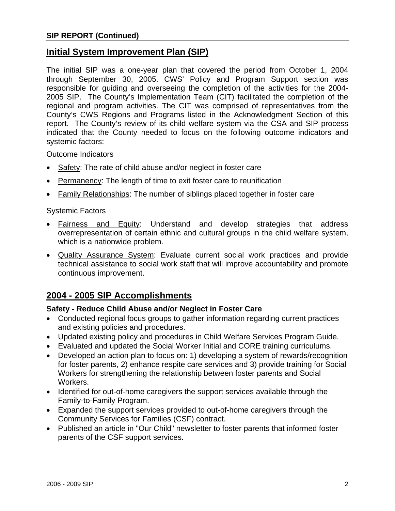## **Initial System Improvement Plan (SIP)**

The initial SIP was a one-year plan that covered the period from October 1, 2004 through September 30, 2005. CWS' Policy and Program Support section was responsible for guiding and overseeing the completion of the activities for the 2004- 2005 SIP. The County's Implementation Team (CIT) facilitated the completion of the regional and program activities. The CIT was comprised of representatives from the County's CWS Regions and Programs listed in the Acknowledgment Section of this report. The County's review of its child welfare system via the CSA and SIP process indicated that the County needed to focus on the following outcome indicators and systemic factors:

Outcome Indicators

- Safety: The rate of child abuse and/or neglect in foster care
- Permanency: The length of time to exit foster care to reunification
- **Family Relationships:** The number of siblings placed together in foster care

#### Systemic Factors

- Fairness and Equity: Understand and develop strategies that address overrepresentation of certain ethnic and cultural groups in the child welfare system, which is a nationwide problem.
- Quality Assurance System: Evaluate current social work practices and provide technical assistance to social work staff that will improve accountability and promote continuous improvement.

## **2004 - 2005 SIP Accomplishments**

#### **Safety - Reduce Child Abuse and/or Neglect in Foster Care**

- Conducted regional focus groups to gather information regarding current practices and existing policies and procedures.
- Updated existing policy and procedures in Child Welfare Services Program Guide.
- Evaluated and updated the Social Worker Initial and CORE training curriculums.
- Developed an action plan to focus on: 1) developing a system of rewards/recognition for foster parents, 2) enhance respite care services and 3) provide training for Social Workers for strengthening the relationship between foster parents and Social Workers.
- Identified for out-of-home caregivers the support services available through the Family-to-Family Program.
- Expanded the support services provided to out-of-home caregivers through the Community Services for Families (CSF) contract.
- Published an article in "Our Child" newsletter to foster parents that informed foster parents of the CSF support services.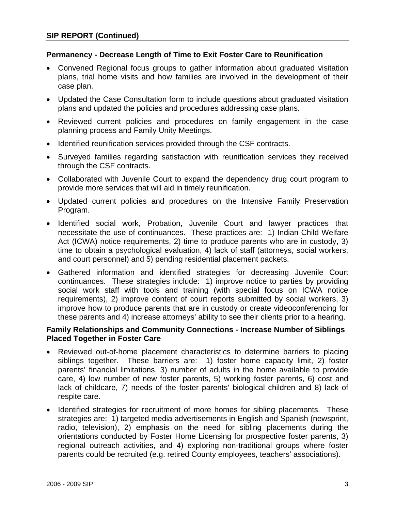#### **Permanency - Decrease Length of Time to Exit Foster Care to Reunification**

- Convened Regional focus groups to gather information about graduated visitation plans, trial home visits and how families are involved in the development of their case plan.
- Updated the Case Consultation form to include questions about graduated visitation plans and updated the policies and procedures addressing case plans.
- Reviewed current policies and procedures on family engagement in the case planning process and Family Unity Meetings.
- Identified reunification services provided through the CSF contracts.
- Surveyed families regarding satisfaction with reunification services they received through the CSF contracts.
- Collaborated with Juvenile Court to expand the dependency drug court program to provide more services that will aid in timely reunification.
- Updated current policies and procedures on the Intensive Family Preservation Program.
- Identified social work, Probation, Juvenile Court and lawyer practices that necessitate the use of continuances. These practices are: 1) Indian Child Welfare Act (ICWA) notice requirements, 2) time to produce parents who are in custody, 3) time to obtain a psychological evaluation, 4) lack of staff (attorneys, social workers, and court personnel) and 5) pending residential placement packets.
- Gathered information and identified strategies for decreasing Juvenile Court continuances. These strategies include: 1) improve notice to parties by providing social work staff with tools and training (with special focus on ICWA notice requirements), 2) improve content of court reports submitted by social workers, 3) improve how to produce parents that are in custody or create videoconferencing for these parents and 4) increase attorneys' ability to see their clients prior to a hearing.

#### **Family Relationships and Community Connections - Increase Number of Siblings Placed Together in Foster Care**

- Reviewed out-of-home placement characteristics to determine barriers to placing siblings together. These barriers are: 1) foster home capacity limit, 2) foster parents' financial limitations, 3) number of adults in the home available to provide care, 4) low number of new foster parents, 5) working foster parents, 6) cost and lack of childcare, 7) needs of the foster parents' biological children and 8) lack of respite care.
- Identified strategies for recruitment of more homes for sibling placements. These strategies are: 1) targeted media advertisements in English and Spanish (newsprint, radio, television), 2) emphasis on the need for sibling placements during the orientations conducted by Foster Home Licensing for prospective foster parents, 3) regional outreach activities, and 4) exploring non-traditional groups where foster parents could be recruited (e.g. retired County employees, teachers' associations).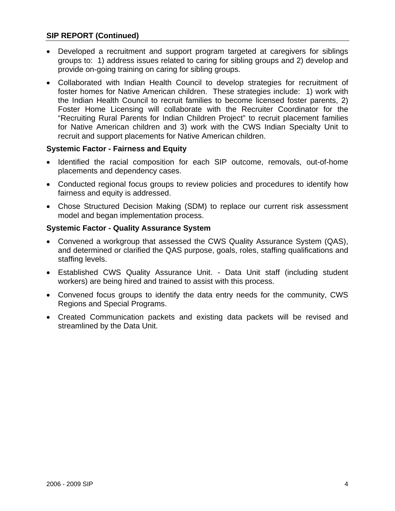#### **SIP REPORT (Continued)**

- Developed a recruitment and support program targeted at caregivers for siblings groups to: 1) address issues related to caring for sibling groups and 2) develop and provide on-going training on caring for sibling groups.
- Collaborated with Indian Health Council to develop strategies for recruitment of foster homes for Native American children. These strategies include: 1) work with the Indian Health Council to recruit families to become licensed foster parents, 2) Foster Home Licensing will collaborate with the Recruiter Coordinator for the "Recruiting Rural Parents for Indian Children Project" to recruit placement families for Native American children and 3) work with the CWS Indian Specialty Unit to recruit and support placements for Native American children.

#### **Systemic Factor - Fairness and Equity**

- Identified the racial composition for each SIP outcome, removals, out-of-home placements and dependency cases.
- Conducted regional focus groups to review policies and procedures to identify how fairness and equity is addressed.
- Chose Structured Decision Making (SDM) to replace our current risk assessment model and began implementation process.

#### **Systemic Factor - Quality Assurance System**

- Convened a workgroup that assessed the CWS Quality Assurance System (QAS), and determined or clarified the QAS purpose, goals, roles, staffing qualifications and staffing levels.
- Established CWS Quality Assurance Unit. Data Unit staff (including student workers) are being hired and trained to assist with this process.
- Convened focus groups to identify the data entry needs for the community, CWS Regions and Special Programs.
- Created Communication packets and existing data packets will be revised and streamlined by the Data Unit.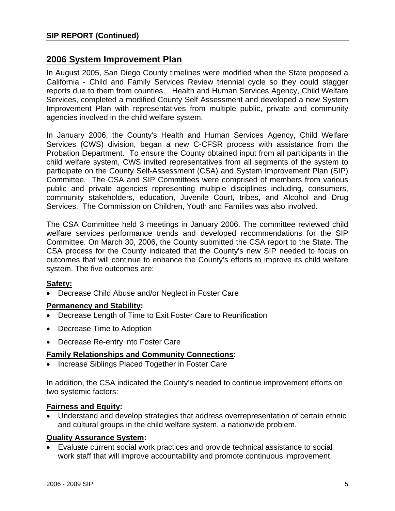## **2006 System Improvement Plan**

In August 2005, San Diego County timelines were modified when the State proposed a California - Child and Family Services Review triennial cycle so they could stagger reports due to them from counties. Health and Human Services Agency, Child Welfare Services, completed a modified County Self Assessment and developed a new System Improvement Plan with representatives from multiple public, private and community agencies involved in the child welfare system.

In January 2006, the County's Health and Human Services Agency, Child Welfare Services (CWS) division, began a new C-CFSR process with assistance from the Probation Department. To ensure the County obtained input from all participants in the child welfare system, CWS invited representatives from all segments of the system to participate on the County Self-Assessment (CSA) and System Improvement Plan (SIP) Committee. The CSA and SIP Committees were comprised of members from various public and private agencies representing multiple disciplines including, consumers, community stakeholders, education, Juvenile Court, tribes, and Alcohol and Drug Services. The Commission on Children, Youth and Families was also involved.

The CSA Committee held 3 meetings in January 2006. The committee reviewed child welfare services performance trends and developed recommendations for the SIP Committee. On March 30, 2006, the County submitted the CSA report to the State. The CSA process for the County indicated that the County's new SIP needed to focus on outcomes that will continue to enhance the County's efforts to improve its child welfare system. The five outcomes are:

#### **Safety:**

• Decrease Child Abuse and/or Neglect in Foster Care

#### **Permanency and Stability:**

- Decrease Length of Time to Exit Foster Care to Reunification
- Decrease Time to Adoption
- Decrease Re-entry into Foster Care

#### **Family Relationships and Community Connections:**

• Increase Siblings Placed Together in Foster Care

In addition, the CSA indicated the County's needed to continue improvement efforts on two systemic factors:

#### **Fairness and Equity:**

• Understand and develop strategies that address overrepresentation of certain ethnic and cultural groups in the child welfare system, a nationwide problem.

#### **Quality Assurance System:**

• Evaluate current social work practices and provide technical assistance to social work staff that will improve accountability and promote continuous improvement.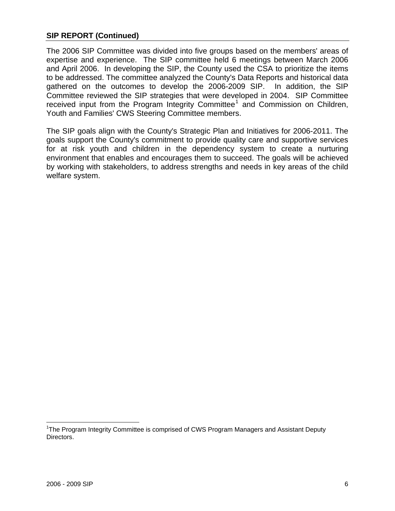#### **SIP REPORT (Continued)**

The 2006 SIP Committee was divided into five groups based on the members' areas of expertise and experience. The SIP committee held 6 meetings between March 2006 and April 2006. In developing the SIP, the County used the CSA to prioritize the items to be addressed. The committee analyzed the County's Data Reports and historical data gathered on the outcomes to develop the 2006-2009 SIP. In addition, the SIP Committee reviewed the SIP strategies that were developed in 2004. SIP Committee received input from the Program Integrity Committee<sup>[1](#page-11-0)</sup> and Commission on Children, Youth and Families' CWS Steering Committee members.

The SIP goals align with the County's Strategic Plan and Initiatives for 2006-2011. The goals support the County's commitment to provide quality care and supportive services for at risk youth and children in the dependency system to create a nurturing environment that enables and encourages them to succeed. The goals will be achieved by working with stakeholders, to address strengths and needs in key areas of the child welfare system.

 $\overline{a}$ 

<span id="page-11-0"></span><sup>&</sup>lt;sup>1</sup>The Program Integrity Committee is comprised of CWS Program Managers and Assistant Deputy Directors.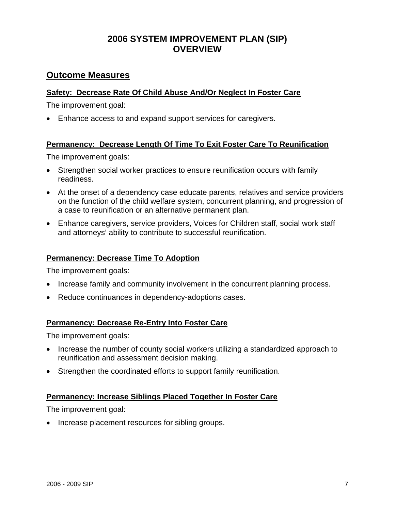## **2006 SYSTEM IMPROVEMENT PLAN (SIP) OVERVIEW**

## **Outcome Measures**

#### **Safety: Decrease Rate Of Child Abuse And/Or Neglect In Foster Care**

The improvement goal:

• Enhance access to and expand support services for caregivers.

#### **Permanency: Decrease Length Of Time To Exit Foster Care To Reunification**

The improvement goals:

- Strengthen social worker practices to ensure reunification occurs with family readiness.
- At the onset of a dependency case educate parents, relatives and service providers on the function of the child welfare system, concurrent planning, and progression of a case to reunification or an alternative permanent plan.
- Enhance caregivers, service providers, Voices for Children staff, social work staff and attorneys' ability to contribute to successful reunification.

#### **Permanency: Decrease Time To Adoption**

The improvement goals:

- Increase family and community involvement in the concurrent planning process.
- Reduce continuances in dependency-adoptions cases.

#### **Permanency: Decrease Re-Entry Into Foster Care**

The improvement goals:

- Increase the number of county social workers utilizing a standardized approach to reunification and assessment decision making.
- Strengthen the coordinated efforts to support family reunification.

#### **Permanency: Increase Siblings Placed Together In Foster Care**

The improvement goal:

• Increase placement resources for sibling groups.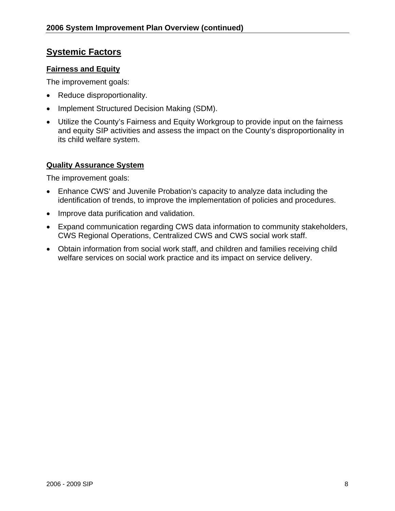### **Systemic Factors**

#### **Fairness and Equity**

The improvement goals:

- Reduce disproportionality.
- Implement Structured Decision Making (SDM).
- Utilize the County's Fairness and Equity Workgroup to provide input on the fairness and equity SIP activities and assess the impact on the County's disproportionality in its child welfare system.

#### **Quality Assurance System**

The improvement goals:

- Enhance CWS' and Juvenile Probation's capacity to analyze data including the identification of trends, to improve the implementation of policies and procedures.
- Improve data purification and validation.
- Expand communication regarding CWS data information to community stakeholders, CWS Regional Operations, Centralized CWS and CWS social work staff.
- Obtain information from social work staff, and children and families receiving child welfare services on social work practice and its impact on service delivery.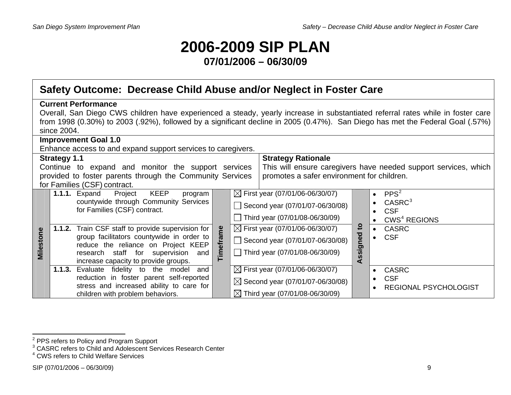# **2006-2009 SIP PLAN**

## **07/01/2006 – 06/30/09**

# **Safety Outcome: Decrease Child Abuse and/or Neglect in Foster Care**

| <b>Current Performance</b>                                                                                                      |                                             |              |                                                                 |
|---------------------------------------------------------------------------------------------------------------------------------|---------------------------------------------|--------------|-----------------------------------------------------------------|
| Overall, San Diego CWS children have experienced a steady, yearly increase in substantiated referral rates while in foster care |                                             |              |                                                                 |
| from 1998 (0.30%) to 2003 (.92%), followed by a significant decline in 2005 (0.47%). San Diego has met the Federal Goal (.57%)  |                                             |              |                                                                 |
| since 2004.                                                                                                                     |                                             |              |                                                                 |
| <b>Improvement Goal 1.0</b>                                                                                                     |                                             |              |                                                                 |
| Enhance access to and expand support services to caregivers.                                                                    |                                             |              |                                                                 |
| <b>Strategy 1.1</b>                                                                                                             | <b>Strategy Rationale</b>                   |              |                                                                 |
| Continue to expand and monitor the support services                                                                             |                                             |              | This will ensure caregivers have needed support services, which |
| provided to foster parents through the Community Services                                                                       | promotes a safer environment for children.  |              |                                                                 |
| for Families (CSF) contract.                                                                                                    |                                             |              |                                                                 |
| <b>KEEP</b><br><b>1.1.1.</b> Expand<br>Project<br>program                                                                       | $\boxtimes$ First year (07/01/06-06/30/07)  |              | PPS <sup>2</sup><br>$\bullet$                                   |
| countywide through Community Services                                                                                           | Second year (07/01/07-06/30/08)             |              | CASRC <sup>3</sup>                                              |
| for Families (CSF) contract.                                                                                                    |                                             |              | <b>CSF</b>                                                      |
|                                                                                                                                 | Third year (07/01/08-06/30/09)              |              | CWS <sup>4</sup> REGIONS                                        |
| 1.1.2. Train CSF staff to provide supervision for                                                                               | $\boxtimes$ First year (07/01/06-06/30/07)  | $\mathbf{c}$ | <b>CASRC</b><br>$\bullet$                                       |
| Timeframe<br>Milestone<br>group facilitators countywide in order to                                                             | Second year $(07/01/07 - 06/30/08)$         | ned          | <b>CSF</b>                                                      |
| reduce the reliance on Project KEEP                                                                                             | $\Box$ Third year (07/01/08-06/30/09)       | Assig        |                                                                 |
| research staff for supervision and<br>increase capacity to provide groups.                                                      |                                             |              |                                                                 |
| 1.1.3.<br>Evaluate fidelity to the model<br>and                                                                                 | $\boxtimes$ First year (07/01/06-06/30/07)  |              | <b>CASRC</b><br>$\bullet$                                       |
| reduction in foster parent self-reported                                                                                        |                                             |              | <b>CSF</b><br>$\bullet$                                         |
| stress and increased ability to care for                                                                                        | $\boxtimes$ Second year (07/01/07-06/30/08) |              | <b>REGIONAL PSYCHOLOGIST</b>                                    |
| children with problem behaviors.                                                                                                | $\boxtimes$ Third year (07/01/08-06/30/09)  |              |                                                                 |

<span id="page-14-1"></span><span id="page-14-0"></span>

<sup>&</sup>lt;sup>2</sup> PPS refers to Policy and Program Support<br><sup>3</sup> CASRC refers to Child and Adolescent Services Research Center<br><sup>4</sup> CWS refers to Child Welfare Services

<span id="page-14-2"></span>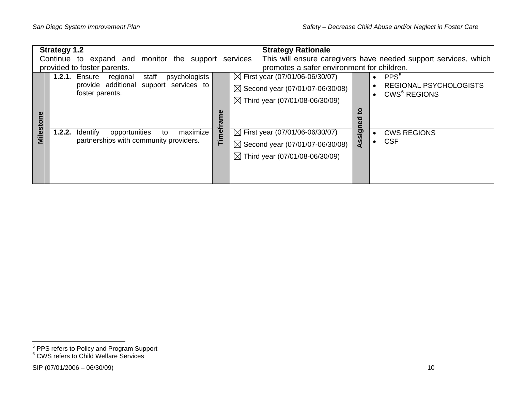|                                                        | <b>Strategy 1.2</b>                                          |             | <b>Strategy Rationale</b> |                                                                 |                    |           |                                                           |
|--------------------------------------------------------|--------------------------------------------------------------|-------------|---------------------------|-----------------------------------------------------------------|--------------------|-----------|-----------------------------------------------------------|
| Continue to expand and monitor the support<br>services |                                                              |             |                           | This will ensure caregivers have needed support services, which |                    |           |                                                           |
|                                                        | provided to foster parents.                                  |             |                           | promotes a safer environment for children.                      |                    |           |                                                           |
|                                                        | <b>1.2.1. Ensure</b><br>staff<br>psychologists<br>regional   |             |                           | $\boxtimes$ First year (07/01/06-06/30/07)                      |                    |           | PPS <sup>5</sup>                                          |
|                                                        | provide additional<br>support services to<br>foster parents. |             |                           | $\boxtimes$ Second year (07/01/07-06/30/08)                     |                    | $\bullet$ | <b>REGIONAL PSYCHOLOGISTS</b><br>CWS <sup>6</sup> REGIONS |
|                                                        |                                                              |             |                           | $\boxtimes$ Third year (07/01/08-06/30/09)                      |                    |           |                                                           |
|                                                        |                                                              | e<br>E<br>ಹ |                           |                                                                 | <u>ទ</u><br>ਠ      |           |                                                           |
| <b>Milesto</b>                                         | maximize<br>1.2.2.<br>Identify<br>opportunities<br>to        | Timefi      |                           | $\boxtimes$ First year (07/01/06-06/30/07)                      | <u>ဇ</u><br>Assign |           | <b>CWS REGIONS</b>                                        |
|                                                        | partnerships with community providers.                       |             |                           | $\boxtimes$ Second year (07/01/07-06/30/08)                     |                    |           | <b>CSF</b>                                                |
|                                                        |                                                              |             |                           | $\boxtimes$ Third year (07/01/08-06/30/09)                      |                    |           |                                                           |
|                                                        |                                                              |             |                           |                                                                 |                    |           |                                                           |
|                                                        |                                                              |             |                           |                                                                 |                    |           |                                                           |

<span id="page-15-0"></span> $^5$  PPS refers to Policy and Program Support<br> $^6$  CWS refers to Child Welfare Services

<span id="page-15-1"></span>

 $SIP (07/01/2006 - 06/30/09)$  10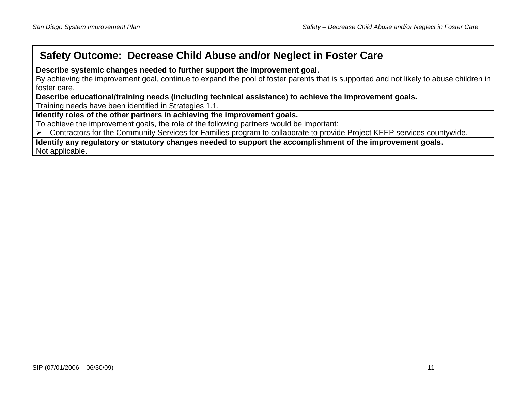# **Safety Outcome: Decrease Child Abuse and/or Neglect in Foster Care**

**Describe systemic changes needed to further support the improvement goal.** 

By achieving the improvement goal, continue to expand the pool of foster parents that is supported and not likely to abuse children in foster care.

**Describe educational/training needs (including technical assistance) to achieve the improvement goals.**  Training needs have been identified in Strategies 1.1.

**Identify roles of the other partners in achieving the improvement goals.** 

To achieve the improvement goals, the role of the following partners would be important:

¾ Contractors for the Community Services for Families program to collaborate to provide Project KEEP services countywide.

**Identify any regulatory or statutory changes needed to support the accomplishment of the improvement goals.**  Not applicable.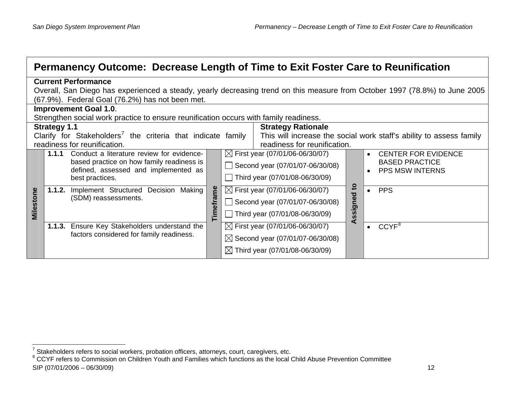| <b>Current Performance</b> |                                                                                                                                                                                                                                                                                                                                                                                                                                                                 |                  |                                                                                   |                                                                                                                                                                                                                                                                                                                                                                                                                                                                                                     |                                                                                                                                                                                                                                                                                        |
|----------------------------|-----------------------------------------------------------------------------------------------------------------------------------------------------------------------------------------------------------------------------------------------------------------------------------------------------------------------------------------------------------------------------------------------------------------------------------------------------------------|------------------|-----------------------------------------------------------------------------------|-----------------------------------------------------------------------------------------------------------------------------------------------------------------------------------------------------------------------------------------------------------------------------------------------------------------------------------------------------------------------------------------------------------------------------------------------------------------------------------------------------|----------------------------------------------------------------------------------------------------------------------------------------------------------------------------------------------------------------------------------------------------------------------------------------|
|                            |                                                                                                                                                                                                                                                                                                                                                                                                                                                                 |                  |                                                                                   |                                                                                                                                                                                                                                                                                                                                                                                                                                                                                                     |                                                                                                                                                                                                                                                                                        |
|                            |                                                                                                                                                                                                                                                                                                                                                                                                                                                                 |                  |                                                                                   |                                                                                                                                                                                                                                                                                                                                                                                                                                                                                                     |                                                                                                                                                                                                                                                                                        |
|                            |                                                                                                                                                                                                                                                                                                                                                                                                                                                                 |                  |                                                                                   |                                                                                                                                                                                                                                                                                                                                                                                                                                                                                                     |                                                                                                                                                                                                                                                                                        |
|                            |                                                                                                                                                                                                                                                                                                                                                                                                                                                                 |                  |                                                                                   |                                                                                                                                                                                                                                                                                                                                                                                                                                                                                                     |                                                                                                                                                                                                                                                                                        |
|                            |                                                                                                                                                                                                                                                                                                                                                                                                                                                                 |                  |                                                                                   |                                                                                                                                                                                                                                                                                                                                                                                                                                                                                                     |                                                                                                                                                                                                                                                                                        |
|                            |                                                                                                                                                                                                                                                                                                                                                                                                                                                                 |                  |                                                                                   |                                                                                                                                                                                                                                                                                                                                                                                                                                                                                                     | This will increase the social work staff's ability to assess family                                                                                                                                                                                                                    |
|                            |                                                                                                                                                                                                                                                                                                                                                                                                                                                                 |                  |                                                                                   |                                                                                                                                                                                                                                                                                                                                                                                                                                                                                                     |                                                                                                                                                                                                                                                                                        |
| 1.1.1                      |                                                                                                                                                                                                                                                                                                                                                                                                                                                                 |                  |                                                                                   |                                                                                                                                                                                                                                                                                                                                                                                                                                                                                                     | <b>CENTER FOR EVIDENCE</b>                                                                                                                                                                                                                                                             |
|                            |                                                                                                                                                                                                                                                                                                                                                                                                                                                                 |                  |                                                                                   |                                                                                                                                                                                                                                                                                                                                                                                                                                                                                                     | <b>BASED PRACTICE</b>                                                                                                                                                                                                                                                                  |
|                            |                                                                                                                                                                                                                                                                                                                                                                                                                                                                 |                  |                                                                                   |                                                                                                                                                                                                                                                                                                                                                                                                                                                                                                     | <b>PPS MSW INTERNS</b>                                                                                                                                                                                                                                                                 |
|                            |                                                                                                                                                                                                                                                                                                                                                                                                                                                                 |                  |                                                                                   |                                                                                                                                                                                                                                                                                                                                                                                                                                                                                                     |                                                                                                                                                                                                                                                                                        |
|                            |                                                                                                                                                                                                                                                                                                                                                                                                                                                                 |                  |                                                                                   |                                                                                                                                                                                                                                                                                                                                                                                                                                                                                                     | <b>PPS</b>                                                                                                                                                                                                                                                                             |
|                            |                                                                                                                                                                                                                                                                                                                                                                                                                                                                 | $\Box$           |                                                                                   |                                                                                                                                                                                                                                                                                                                                                                                                                                                                                                     |                                                                                                                                                                                                                                                                                        |
|                            |                                                                                                                                                                                                                                                                                                                                                                                                                                                                 |                  |                                                                                   |                                                                                                                                                                                                                                                                                                                                                                                                                                                                                                     |                                                                                                                                                                                                                                                                                        |
|                            |                                                                                                                                                                                                                                                                                                                                                                                                                                                                 |                  |                                                                                   |                                                                                                                                                                                                                                                                                                                                                                                                                                                                                                     |                                                                                                                                                                                                                                                                                        |
|                            |                                                                                                                                                                                                                                                                                                                                                                                                                                                                 |                  |                                                                                   |                                                                                                                                                                                                                                                                                                                                                                                                                                                                                                     | CCYF <sup>8</sup>                                                                                                                                                                                                                                                                      |
|                            |                                                                                                                                                                                                                                                                                                                                                                                                                                                                 |                  |                                                                                   |                                                                                                                                                                                                                                                                                                                                                                                                                                                                                                     |                                                                                                                                                                                                                                                                                        |
|                            |                                                                                                                                                                                                                                                                                                                                                                                                                                                                 |                  |                                                                                   |                                                                                                                                                                                                                                                                                                                                                                                                                                                                                                     |                                                                                                                                                                                                                                                                                        |
|                            | (67.9%). Federal Goal (76.2%) has not been met.<br><b>Improvement Goal 1.0.</b><br><b>Strategy 1.1</b><br>readiness for reunification.<br>Conduct a literature review for evidence-<br>based practice on how family readiness is<br>defined, assessed and implemented as<br>best practices.<br>1.1.2. Implement Structured Decision Making<br>(SDM) reassessments.<br>1.1.3. Ensure Key Stakeholders understand the<br>factors considered for family readiness. | <b>Timeframe</b> | Clarify for Stakeholders <sup>7</sup> the criteria that indicate family<br>$\Box$ | Strengthen social work practice to ensure reunification occurs with family readiness.<br><b>Strategy Rationale</b><br>$\boxtimes$ First year (07/01/06-06/30/07)<br>Second year (07/01/07-06/30/08)<br>Third year (07/01/08-06/30/09)<br>$\boxtimes$ First year (07/01/06-06/30/07)<br>Second year (07/01/07-06/30/08)<br>Third year (07/01/08-06/30/09)<br>$\boxtimes$ First year (07/01/06-06/30/07)<br>$\boxtimes$ Second year (07/01/07-06/30/08)<br>$\boxtimes$ Third year (07/01/08-06/30/09) | Permanency Outcome: Decrease Length of Time to Exit Foster Care to Reunification<br>Overall, San Diego has experienced a steady, yearly decreasing trend on this measure from October 1997 (78.8%) to June 2005<br>readiness for reunification.<br>$\overline{\mathbf{c}}$<br>Assigned |

<span id="page-17-1"></span><span id="page-17-0"></span> $^7$  Stakeholders refers to social workers, probation officers, attorneys, court, caregivers, etc.<br><sup>8</sup> CCYF refers to Commission on Children Youth and Families which functions as the local Child Abuse Prevention Committee  $SIP (07/01/2006 - 06/30/09)$  12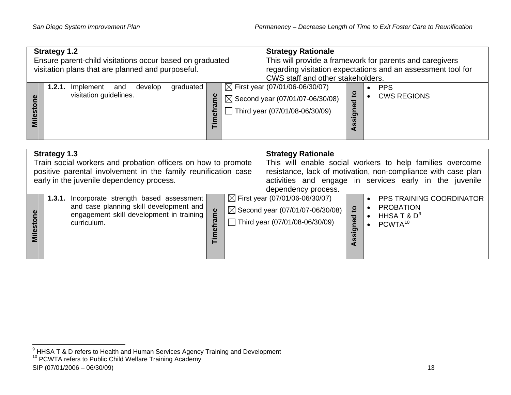| <b>Strategy 1.2</b><br>Ensure parent-child visitations occur based on graduated<br>visitation plans that are planned and purposeful. |                                                                              |                    | <b>Strategy Rationale</b><br>CWS staff and other stakeholders. |                                                                                                                             | This will provide a framework for parents and caregivers<br>regarding visitation expectations and an assessment tool for |                                  |
|--------------------------------------------------------------------------------------------------------------------------------------|------------------------------------------------------------------------------|--------------------|----------------------------------------------------------------|-----------------------------------------------------------------------------------------------------------------------------|--------------------------------------------------------------------------------------------------------------------------|----------------------------------|
| ω<br>stoi<br>Mile                                                                                                                    | graduated<br>1.2.1.<br>Implement<br>develop<br>and<br>visitation guidelines. | $\bar{a}$<br>Timef |                                                                | $\boxtimes$ First year (07/01/06-06/30/07)<br>$\boxtimes$ Second year (07/01/07-06/30/08)<br>Third year (07/01/08-06/30/09) | ္သဥ<br>ъ<br>Õ<br>ರಾ<br>$\overline{5}$<br><b>S</b><br>◁                                                                   | <b>PPS</b><br><b>CWS REGIONS</b> |

|               | <b>Strategy 1.3</b><br>Train social workers and probation officers on how to promote<br>positive parental involvement in the family reunification case<br>early in the juvenile dependency process. |              | <b>Strategy Rationale</b><br>dependency process.                                                                              |                                   | This will enable social workers to help families overcome<br>resistance, lack of motivation, non-compliance with case plan<br>activities and engage in services early in the juvenile |
|---------------|-----------------------------------------------------------------------------------------------------------------------------------------------------------------------------------------------------|--------------|-------------------------------------------------------------------------------------------------------------------------------|-----------------------------------|---------------------------------------------------------------------------------------------------------------------------------------------------------------------------------------|
| ို<br>Milesto | Incorporate strength based assessment<br>1.3.1.<br>and case planning skill development and<br>engagement skill development in training<br>curriculum.                                               | ច្ច<br>Timet | $\boxtimes$ First year (07/01/06-06/30/07)<br>$\boxtimes$ Second year (07/01/07-06/30/08)<br>Third year $(07/01/08-06/30/09)$ | $\mathbf{c}$<br>igned<br><b>S</b> | <b>PPS TRAINING COORDINATOR</b><br><b>PROBATION</b><br>HHSA T & $D^9$<br>PCWTA <sup>10</sup>                                                                                          |

<span id="page-18-1"></span><span id="page-18-0"></span><sup>&</sup>lt;sup>9</sup> HHSA T & D refers to Health and Human Services Agency Training and Development <sup>10</sup> PCWTA refers to Public Child Welfare Training Academy

 $SIP (07/01/2006 - 06/30/09)$  13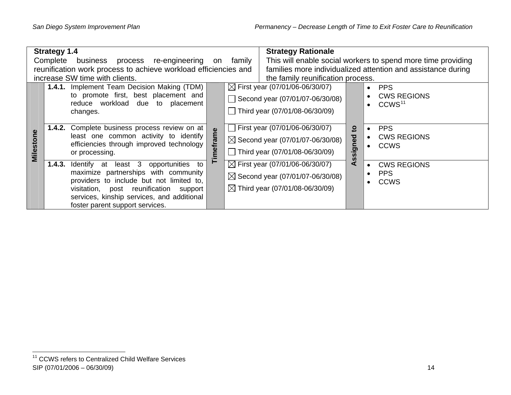|           | <b>Strategy 1.4</b>                                                                                                                                                                                                                                              | <b>Strategy Rationale</b>                                                                                                                                                                                                         |
|-----------|------------------------------------------------------------------------------------------------------------------------------------------------------------------------------------------------------------------------------------------------------------------|-----------------------------------------------------------------------------------------------------------------------------------------------------------------------------------------------------------------------------------|
|           | Complete<br>business process re-engineering<br>on                                                                                                                                                                                                                | This will enable social workers to spend more time providing<br>family                                                                                                                                                            |
|           | reunification work process to achieve workload efficiencies and                                                                                                                                                                                                  | families more individualized attention and assistance during                                                                                                                                                                      |
|           | increase SW time with clients.                                                                                                                                                                                                                                   | the family reunification process.                                                                                                                                                                                                 |
|           | 1.4.1. Implement Team Decision Making (TDM)<br>to promote first, best placement and<br>reduce workload due to placement<br>changes.                                                                                                                              | $\boxtimes$ First year (07/01/06-06/30/07)<br><b>PPS</b><br><b>CWS REGIONS</b><br>Second year (07/01/07-06/30/08)<br>CCWS <sup>11</sup><br>Third year (07/01/08-06/30/09)                                                         |
| Milestone | <b>1.4.2.</b> Complete business process review on at<br>imeframe<br>least one common activity to identify<br>efficiencies through improved technology<br>or processing.                                                                                          | First year (07/01/06-06/30/07)<br><b>PPS</b><br>$\overline{5}$<br>Assigned<br><b>CWS REGIONS</b><br>$\bullet$<br>$\boxtimes$ Second year (07/01/07-06/30/08)<br><b>CCWS</b><br>Third year (07/01/08-06/30/09)                     |
|           | 1.4.3.<br>Identify at least 3<br>opportunities to<br>maximize partnerships with community<br>providers to include but not limited to,<br>visitation, post reunification support<br>services, kinship services, and additional<br>foster parent support services. | $\boxtimes$ First year (07/01/06-06/30/07)<br><b>CWS REGIONS</b><br>$\bullet$<br><b>PPS</b><br>$\bullet$<br>$\boxtimes$ Second year (07/01/07-06/30/08)<br><b>CCWS</b><br>$\bullet$<br>$\boxtimes$ Third year (07/01/08-06/30/09) |

<span id="page-19-0"></span><sup>&</sup>lt;sup>11</sup> CCWS refers to Centralized Child Welfare Services SIP (07/01/2006 – 06/30/09) 14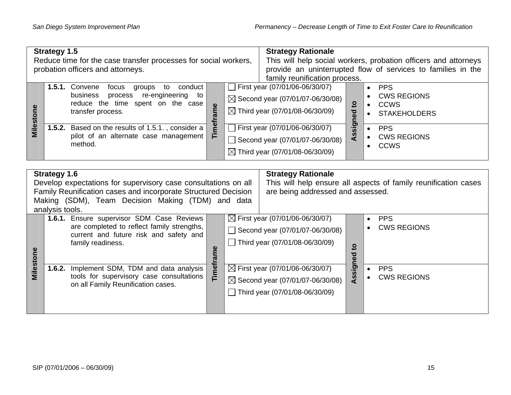|           | <b>Strategy 1.5</b>                                                                                                                                                                                                             | <b>Strategy Rationale</b>                                                                                                                                                                                                                                                |  |  |  |  |  |  |  |
|-----------|---------------------------------------------------------------------------------------------------------------------------------------------------------------------------------------------------------------------------------|--------------------------------------------------------------------------------------------------------------------------------------------------------------------------------------------------------------------------------------------------------------------------|--|--|--|--|--|--|--|
|           | Reduce time for the case transfer processes for social workers,                                                                                                                                                                 | This will help social workers, probation officers and attorneys                                                                                                                                                                                                          |  |  |  |  |  |  |  |
|           | probation officers and attorneys.                                                                                                                                                                                               | provide an uninterrupted flow of services to families in the<br>family reunification process.                                                                                                                                                                            |  |  |  |  |  |  |  |
| Milestone | 1.5.1. Convene<br>conduct<br>to<br>focus<br>groups<br>business<br>process<br>re-engineering<br>to<br>reduce the time spent on the case<br>Timeframe<br>transfer process.                                                        | First year (07/01/06-06/30/07)<br><b>PPS</b><br>$\bullet$<br><b>CWS REGIONS</b><br>$\bullet$<br>$\boxtimes$ Second year (07/01/07-06/30/08)<br>Assigned to<br><b>CCWS</b><br>$\bullet$<br>$\boxtimes$ Third year (07/01/08-06/30/09)<br><b>STAKEHOLDERS</b><br>$\bullet$ |  |  |  |  |  |  |  |
|           | 1.5.2. Based on the results of 1.5.1., consider a<br>pilot of an alternate case management<br>method.                                                                                                                           | First year (07/01/06-06/30/07)<br><b>PPS</b><br>$\bullet$<br><b>CWS REGIONS</b><br>$\bullet$<br>Second year (07/01/07-06/30/08)<br><b>CCWS</b><br>$\bullet$<br>$\boxtimes$ Third year (07/01/08-06/30/09)                                                                |  |  |  |  |  |  |  |
|           |                                                                                                                                                                                                                                 |                                                                                                                                                                                                                                                                          |  |  |  |  |  |  |  |
|           | <b>Strategy 1.6</b><br>Develop expectations for supervisory case consultations on all<br>Family Reunification cases and incorporate Structured Decision<br>Making (SDM), Team Decision Making (TDM) and data<br>analysis tools. | <b>Strategy Rationale</b><br>This will help ensure all aspects of family reunification cases<br>are being addressed and assessed.                                                                                                                                        |  |  |  |  |  |  |  |
|           | 1.6.1. Ensure supervisor SDM Case Reviews<br>are completed to reflect family strengths,<br>current and future risk and safety and<br>family readiness.                                                                          | $\boxtimes$ First year (07/01/06-06/30/07)<br><b>PPS</b><br>$\bullet$<br><b>CWS REGIONS</b><br>Second year (07/01/07-06/30/08)<br>Third year (07/01/08-06/30/09)<br>$\mathbf{c}$                                                                                         |  |  |  |  |  |  |  |
| Milestone | Timeframe<br>1.6.2. Implement SDM, TDM and data analysis<br>tools for supervisory case consultations<br>on all Family Reunification cases.                                                                                      | Assigned<br>$\boxtimes$ First year (07/01/06-06/30/07)<br><b>PPS</b><br>$\bullet$<br><b>CWS REGIONS</b><br>$\bullet$<br>$\boxtimes$ Second year (07/01/07-06/30/08)<br>Third year (07/01/08-06/30/09)                                                                    |  |  |  |  |  |  |  |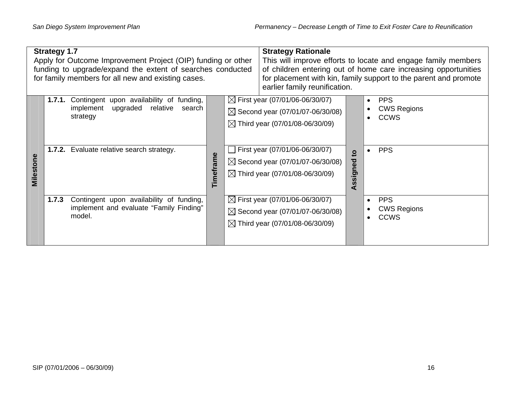|           | <b>Strategy 1.7</b> | Apply for Outcome Improvement Project (OIP) funding or other<br>funding to upgrade/expand the extent of searches conducted<br>for family members for all new and existing cases. |           | <b>Strategy Rationale</b><br>earlier family reunification.                                                                              |                            | This will improve efforts to locate and engage family members<br>of children entering out of home care increasing opportunities<br>for placement with kin, family support to the parent and promote |
|-----------|---------------------|----------------------------------------------------------------------------------------------------------------------------------------------------------------------------------|-----------|-----------------------------------------------------------------------------------------------------------------------------------------|----------------------------|-----------------------------------------------------------------------------------------------------------------------------------------------------------------------------------------------------|
|           |                     | 1.7.1. Contingent upon availability of funding,<br>upgraded relative<br>implement<br>search<br>strategy                                                                          |           | $\boxtimes$ First year (07/01/06-06/30/07)<br>$\boxtimes$ Second year (07/01/07-06/30/08)<br>$\boxtimes$ Third year (07/01/08-06/30/09) |                            | <b>PPS</b><br><b>CWS Regions</b><br><b>CCWS</b><br>$\bullet$                                                                                                                                        |
| Milestone |                     | 1.7.2. Evaluate relative search strategy.                                                                                                                                        | Timeframe | First year (07/01/06-06/30/07)<br>$\boxtimes$ Second year (07/01/07-06/30/08)<br>$\boxtimes$ Third year (07/01/08-06/30/09)             | $\overline{5}$<br>Assigned | <b>PPS</b>                                                                                                                                                                                          |
|           | 1.7.3               | Contingent upon availability of funding,<br>implement and evaluate "Family Finding"<br>model.                                                                                    |           | $\boxtimes$ First year (07/01/06-06/30/07)<br>$\boxtimes$ Second year (07/01/07-06/30/08)<br>$\boxtimes$ Third year (07/01/08-06/30/09) |                            | <b>PPS</b><br><b>CWS Regions</b><br>$\bullet$<br><b>CCWS</b>                                                                                                                                        |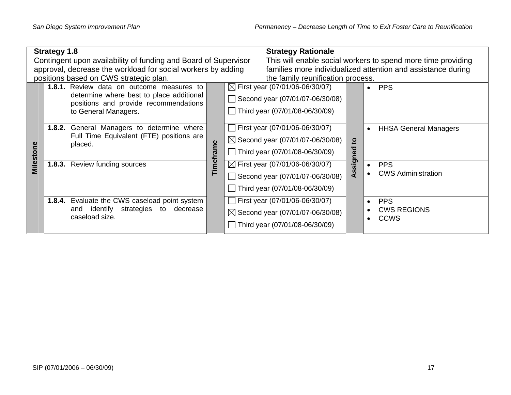| <b>Strategy 1.8</b> |                                                                                                      |                                                                                                                                                               |  |                                                                                                                 | <b>Strategy Rationale</b>                                                                                         |                                           |                                                                   |  |  |
|---------------------|------------------------------------------------------------------------------------------------------|---------------------------------------------------------------------------------------------------------------------------------------------------------------|--|-----------------------------------------------------------------------------------------------------------------|-------------------------------------------------------------------------------------------------------------------|-------------------------------------------|-------------------------------------------------------------------|--|--|
|                     |                                                                                                      | Contingent upon availability of funding and Board of Supervisor                                                                                               |  |                                                                                                                 |                                                                                                                   |                                           | This will enable social workers to spend more time providing      |  |  |
|                     |                                                                                                      | approval, decrease the workload for social workers by adding                                                                                                  |  |                                                                                                                 |                                                                                                                   |                                           | families more individualized attention and assistance during      |  |  |
|                     |                                                                                                      | positions based on CWS strategic plan.                                                                                                                        |  |                                                                                                                 | the family reunification process.                                                                                 |                                           |                                                                   |  |  |
|                     |                                                                                                      | <b>1.8.1.</b> Review data on outcome measures to<br>determine where best to place additional<br>positions and provide recommendations<br>to General Managers. |  |                                                                                                                 | $\boxtimes$ First year (07/01/06-06/30/07)<br>Second year (07/01/07-06/30/08)<br>Third year $(07/01/08-06/30/09)$ |                                           | <b>PPS</b><br>$\bullet$                                           |  |  |
| Milestone           | General Managers to determine where<br>1.8.2.<br>Full Time Equivalent (FTE) positions are<br>placed. | Timeframe                                                                                                                                                     |  | First year (07/01/06-06/30/07)<br>$\boxtimes$ Second year (07/01/07-06/30/08)<br>Third year (07/01/08-06/30/09) | $\overline{5}$<br>ned                                                                                             | <b>HHSA General Managers</b><br>$\bullet$ |                                                                   |  |  |
|                     | 1.8.3.                                                                                               | Review funding sources                                                                                                                                        |  |                                                                                                                 | $\boxtimes$ First year (07/01/06-06/30/07)<br>Second year (07/01/07-06/30/08)<br>Third year (07/01/08-06/30/09)   | gis<br>ທ                                  | <b>PPS</b><br>$\bullet$<br><b>CWS Administration</b>              |  |  |
|                     |                                                                                                      | 1.8.4. Evaluate the CWS caseload point system<br>decrease<br>identify<br>strategies to<br>and<br>caseload size.                                               |  |                                                                                                                 | First year $(07/01/06-06/30/07)$<br>$\boxtimes$ Second year (07/01/07-06/30/08)<br>Third year (07/01/08-06/30/09) |                                           | <b>PPS</b><br>$\bullet$<br><b>CWS REGIONS</b><br><b>CCWS</b><br>٠ |  |  |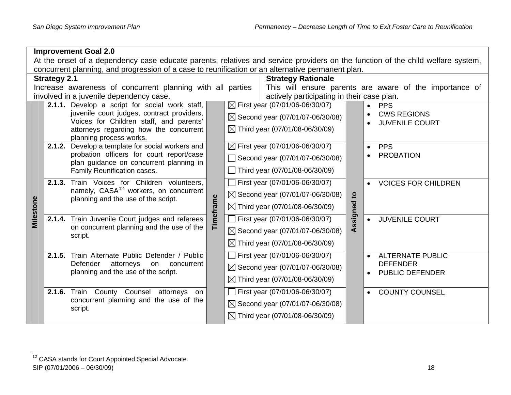|           |                                                                                                                                 | <b>Improvement Goal 2.0</b>                                                              |           |  |                                             |              |                                                         |  |  |  |
|-----------|---------------------------------------------------------------------------------------------------------------------------------|------------------------------------------------------------------------------------------|-----------|--|---------------------------------------------|--------------|---------------------------------------------------------|--|--|--|
|           | At the onset of a dependency case educate parents, relatives and service providers on the function of the child welfare system, |                                                                                          |           |  |                                             |              |                                                         |  |  |  |
|           | concurrent planning, and progression of a case to reunification or an alternative permanent plan.                               |                                                                                          |           |  |                                             |              |                                                         |  |  |  |
|           | <b>Strategy Rationale</b><br><b>Strategy 2.1</b>                                                                                |                                                                                          |           |  |                                             |              |                                                         |  |  |  |
|           |                                                                                                                                 | Increase awareness of concurrent planning with all parties                               |           |  |                                             |              | This will ensure parents are aware of the importance of |  |  |  |
|           |                                                                                                                                 | involved in a juvenile dependency case.                                                  |           |  | actively participating in their case plan.  |              |                                                         |  |  |  |
|           |                                                                                                                                 | 2.1.1. Develop a script for social work staff,                                           |           |  | $\boxtimes$ First year (07/01/06-06/30/07)  |              | <b>PPS</b>                                              |  |  |  |
|           |                                                                                                                                 | juvenile court judges, contract providers,<br>Voices for Children staff, and parents'    |           |  | $\boxtimes$ Second year (07/01/07-06/30/08) |              | <b>CWS REGIONS</b>                                      |  |  |  |
|           |                                                                                                                                 | attorneys regarding how the concurrent<br>planning process works.                        |           |  | $\boxtimes$ Third year (07/01/08-06/30/09)  |              | <b>JUVENILE COURT</b>                                   |  |  |  |
|           |                                                                                                                                 | 2.1.2. Develop a template for social workers and                                         |           |  | $\boxtimes$ First year (07/01/06-06/30/07)  |              | <b>PPS</b>                                              |  |  |  |
|           |                                                                                                                                 | probation officers for court report/case<br>plan guidance on concurrent planning in      |           |  | Second year (07/01/07-06/30/08)             |              | <b>PROBATION</b>                                        |  |  |  |
|           |                                                                                                                                 | Family Reunification cases.                                                              |           |  | Third year (07/01/08-06/30/09)              |              |                                                         |  |  |  |
|           |                                                                                                                                 | 2.1.3. Train Voices for Children volunteers,                                             |           |  | First year (07/01/06-06/30/07)              |              | <b>VOICES FOR CHILDREN</b>                              |  |  |  |
|           |                                                                                                                                 | namely, CASA <sup>12</sup> workers, on concurrent<br>planning and the use of the script. | Timeframe |  | $\boxtimes$ Second year (07/01/07-06/30/08) | $\mathbf{c}$ |                                                         |  |  |  |
| Milestone |                                                                                                                                 |                                                                                          |           |  | $\boxtimes$ Third year (07/01/08-06/30/09)  | Assigned     |                                                         |  |  |  |
|           |                                                                                                                                 | 2.1.4. Train Juvenile Court judges and referees                                          |           |  | First year (07/01/06-06/30/07)              |              | <b>JUVENILE COURT</b><br>$\bullet$                      |  |  |  |
|           |                                                                                                                                 | on concurrent planning and the use of the<br>script.                                     |           |  | $\boxtimes$ Second year (07/01/07-06/30/08) |              |                                                         |  |  |  |
|           |                                                                                                                                 |                                                                                          |           |  | $\boxtimes$ Third year (07/01/08-06/30/09)  |              |                                                         |  |  |  |
|           |                                                                                                                                 | 2.1.5. Train Alternate Public Defender / Public                                          |           |  | First year (07/01/06-06/30/07)              |              | <b>ALTERNATE PUBLIC</b><br>$\bullet$                    |  |  |  |
|           |                                                                                                                                 | Defender<br>attorneys<br>concurrent<br>on<br>planning and the use of the script.         |           |  | $\boxtimes$ Second year (07/01/07-06/30/08) |              | <b>DEFENDER</b><br><b>PUBLIC DEFENDER</b>               |  |  |  |
|           |                                                                                                                                 |                                                                                          |           |  | $\boxtimes$ Third year (07/01/08-06/30/09)  |              |                                                         |  |  |  |
|           |                                                                                                                                 | <b>2.1.6.</b> Train<br>County<br>Counsel attorneys<br>on                                 |           |  | First year (07/01/06-06/30/07)              |              | <b>COUNTY COUNSEL</b><br>$\bullet$                      |  |  |  |
|           |                                                                                                                                 | concurrent planning and the use of the<br>script.                                        |           |  | $\boxtimes$ Second year (07/01/07-06/30/08) |              |                                                         |  |  |  |
|           |                                                                                                                                 |                                                                                          |           |  | $\boxtimes$ Third year (07/01/08-06/30/09)  |              |                                                         |  |  |  |

<span id="page-23-0"></span><sup>&</sup>lt;sup>12</sup> CASA stands for Court Appointed Special Advocate.  $SIP (07/01/2006 - 06/30/09)$  18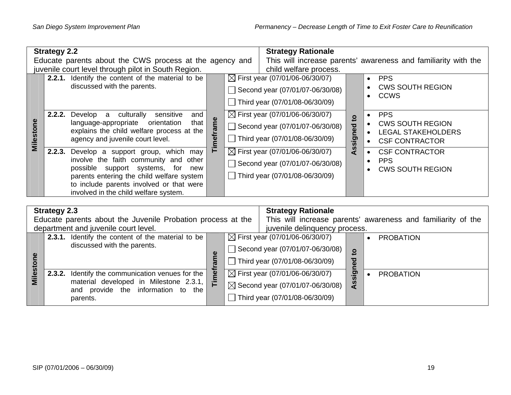|                 | <b>Strategy 2.2</b> |                                                                                          | <b>Strategy Rationale</b> |  |                                            |                |                                                                |
|-----------------|---------------------|------------------------------------------------------------------------------------------|---------------------------|--|--------------------------------------------|----------------|----------------------------------------------------------------|
|                 |                     | Educate parents about the CWS process at the agency and                                  |                           |  |                                            |                | This will increase parents' awareness and familiarity with the |
|                 |                     | juvenile court level through pilot in South Region.                                      |                           |  | child welfare process.                     |                |                                                                |
|                 |                     | 2.2.1. Identify the content of the material to be                                        |                           |  | $\boxtimes$ First year (07/01/06-06/30/07) |                | <b>PPS</b><br>$\bullet$                                        |
|                 |                     | discussed with the parents.                                                              |                           |  | Second year (07/01/07-06/30/08)            |                | <b>CWS SOUTH REGION</b><br><b>CCWS</b>                         |
|                 |                     |                                                                                          |                           |  | Third year (07/01/08-06/30/09)             |                |                                                                |
|                 | 2.2.2.              | culturally<br>Develop a<br>sensitive<br>and                                              |                           |  | $\boxtimes$ First year (07/01/06-06/30/07) | $\mathbf{c}$   | <b>PPS</b><br>٠                                                |
|                 |                     | language-appropriate<br>orientation<br>that<br>explains the child welfare process at the | neframe                   |  | Second year (07/01/07-06/30/08)            |                | <b>CWS SOUTH REGION</b><br>$\bullet$                           |
| <b>Milestor</b> |                     | agency and juvenile court level.                                                         |                           |  | Third year (07/01/08-06/30/09)             | signed         | <b>LEGAL STAKEHOLDERS</b><br><b>CSF CONTRACTOR</b>             |
|                 | 2.2.3.              | Develop a support group, which may                                                       | ⊢                         |  | $\boxtimes$ First year (07/01/06-06/30/07) | $\mathbf{A}$ s | <b>CSF CONTRACTOR</b><br>$\bullet$                             |
|                 |                     | involve the faith community and other                                                    |                           |  | Second year (07/01/07-06/30/08)            |                | <b>PPS</b>                                                     |
|                 |                     | possible support systems,<br>for<br>new                                                  |                           |  |                                            |                | <b>CWS SOUTH REGION</b>                                        |
|                 |                     | parents entering the child welfare system                                                |                           |  | Third year (07/01/08-06/30/09)             |                |                                                                |
|                 |                     | to include parents involved or that were                                                 |                           |  |                                            |                |                                                                |
|                 |                     | involved in the child welfare system.                                                    |                           |  |                                            |                |                                                                |

|                | <b>Strategy 2.3</b>                                                          |        | <b>Strategy Rationale</b> |                                             |                |                                                              |
|----------------|------------------------------------------------------------------------------|--------|---------------------------|---------------------------------------------|----------------|--------------------------------------------------------------|
|                | Educate parents about the Juvenile Probation process at the                  |        |                           |                                             |                | This will increase parents' awareness and familiarity of the |
|                | department and juvenile court level.                                         |        |                           | juvenile delinquency process.               |                |                                                              |
|                | 2.3.1. Identify the content of the material to be                            |        |                           | $\boxtimes$ First year (07/01/06-06/30/07)  |                | <b>PROBATION</b>                                             |
|                | discussed with the parents.                                                  |        |                           | Second year (07/01/07-06/30/08)             | $\overline{5}$ |                                                              |
| $\overline{6}$ |                                                                              | ത      |                           | Third year (07/01/08-06/30/09)              | ਹ<br>Φ         |                                                              |
| <b>Milest</b>  | 2.3.2. Identify the communication venues for the                             | _<br>በ |                           | $\boxtimes$ First year (07/01/06-06/30/07)  | <u>ଚ</u>       | <b>PROBATION</b>                                             |
|                | material developed in Milestone 2.3.1,<br>and provide the information to the | 튼      |                           | $\boxtimes$ Second year (07/01/07-06/30/08) | SS             |                                                              |
|                | parents.                                                                     |        |                           | Third year (07/01/08-06/30/09)              |                |                                                              |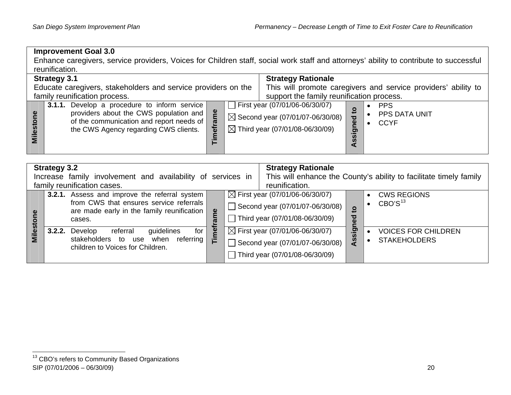of the communication and report needs of the CWS Agency regarding CWS clients.

• CCYF

#### **Improvement Goal 3.0**  Enhance caregivers, service providers, Voices for Children staff, social work staff and attorneys' ability to contribute to successful reunification. **Strategy 3.1 Strategy Rationale**  Educate caregivers, stakeholders and service providers on the This will promote caregivers and service providers' ability to family reunification process. support the family reunification process. **3.1.1.** Develop a procedure to inform service First year (07/01/06-06/30/07) • PPS **Assigned to**   $\mathbf{S}$ **Timeframe**  Timeframe **Milestone**  providers about the CWS population and Milestone •PPS DATA UNIT  $\boxtimes$  Second year (07/01/07-06/30/08) Assigned

 $\boxtimes$  Third year (07/01/08-06/30/09)

|         | <b>Strategy 3.2</b><br><b>Strategy Rationale</b> |                                                             |    |                                |                                            |           |                                                                    |  |  |  |
|---------|--------------------------------------------------|-------------------------------------------------------------|----|--------------------------------|--------------------------------------------|-----------|--------------------------------------------------------------------|--|--|--|
|         |                                                  | Increase family involvement and availability of services in |    |                                |                                            |           | This will enhance the County's ability to facilitate timely family |  |  |  |
|         |                                                  | family reunification cases.                                 |    |                                | reunification.                             |           |                                                                    |  |  |  |
|         |                                                  | <b>3.2.1.</b> Assess and improve the referral system        |    |                                | $\boxtimes$ First year (07/01/06-06/30/07) |           | <b>CWS REGIONS</b>                                                 |  |  |  |
|         |                                                  | from CWS that ensures service referrals                     |    |                                | Second year (07/01/07-06/30/08)            |           | CBO'S <sup>13</sup>                                                |  |  |  |
| ω       |                                                  | are made early in the family reunification                  | em |                                |                                            | ဍ         |                                                                    |  |  |  |
|         |                                                  | cases.                                                      |    | Third year (07/01/08-06/30/09) |                                            | ಕೃ        |                                                                    |  |  |  |
| Milesto |                                                  | guidelines<br>referral<br>for<br>3.2.2. Develop             | Ö۹ |                                | $\boxtimes$ First year (07/01/06-06/30/07) | sig       | <b>VOICES FOR CHILDREN</b>                                         |  |  |  |
|         |                                                  | stakeholders to use<br>when referring                       | Ē  |                                | Second year (07/01/07-06/30/08)            | <b>VI</b> | <b>STAKEHOLDERS</b>                                                |  |  |  |
|         |                                                  | children to Voices for Children.                            |    |                                |                                            |           |                                                                    |  |  |  |
|         |                                                  |                                                             |    |                                | Third year (07/01/08-06/30/09)             |           |                                                                    |  |  |  |

<span id="page-25-0"></span><sup>&</sup>lt;sup>13</sup> CBO's refers to Community Based Organizations SIP (07/01/2006 – 06/30/09) 20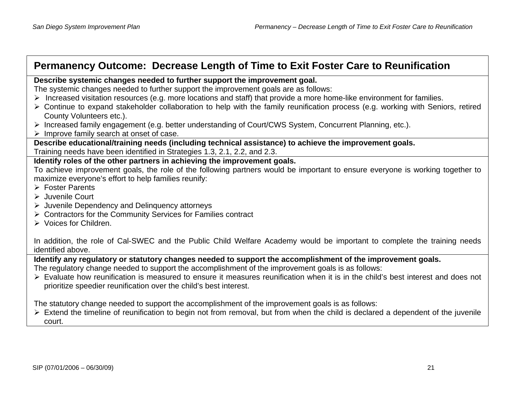# **Permanency Outcome: Decrease Length of Time to Exit Foster Care to Reunification**

#### **Describe systemic changes needed to further support the improvement goal.**

The systemic changes needed to further support the improvement goals are as follows:

- ¾ Increased visitation resources (e.g. more locations and staff) that provide a more home-like environment for families.
- ¾ Continue to expand stakeholder collaboration to help with the family reunification process (e.g. working with Seniors, retired County Volunteers etc.).
- ¾ Increased family engagement (e.g. better understanding of Court/CWS System, Concurrent Planning, etc.).
- $\triangleright$  Improve family search at onset of case.

**Describe educational/training needs (including technical assistance) to achieve the improvement goals.**  Training needs have been identified in Strategies 1.3, 2.1, 2.2, and 2.3.

#### **Identify roles of the other partners in achieving the improvement goals.**

To achieve improvement goals, the role of the following partners would be important to ensure everyone is working together to maximize everyone's effort to help families reunify:

- ¾ Foster Parents
- $\triangleright$  Juvenile Court
- ¾ Juvenile Dependency and Delinquency attorneys
- ¾ Contractors for the Community Services for Families contract
- ¾ Voices for Children.

In addition, the role of Cal-SWEC and the Public Child Welfare Academy would be important to complete the training needs identified above.

**Identify any regulatory or statutory changes needed to support the accomplishment of the improvement goals.** 

The regulatory change needed to support the accomplishment of the improvement goals is as follows:

¾ Evaluate how reunification is measured to ensure it measures reunification when it is in the child's best interest and does not prioritize speedier reunification over the child's best interest.

The statutory change needed to support the accomplishment of the improvement goals is as follows:

 $\triangleright$  Extend the timeline of reunification to begin not from removal, but from when the child is declared a dependent of the juvenile court.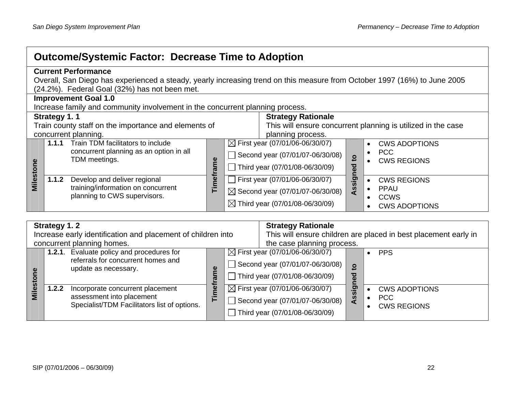| <b>Outcome/Systemic Factor: Decrease Time to Adoption</b> |                                                                                                                            |                                                                                                            |                                                                                   |                                                                                                                                                                                                                                       |  |  |  |  |  |
|-----------------------------------------------------------|----------------------------------------------------------------------------------------------------------------------------|------------------------------------------------------------------------------------------------------------|-----------------------------------------------------------------------------------|---------------------------------------------------------------------------------------------------------------------------------------------------------------------------------------------------------------------------------------|--|--|--|--|--|
|                                                           |                                                                                                                            | <b>Current Performance</b><br>(24.2%). Federal Goal (32%) has not been met.<br><b>Improvement Goal 1.0</b> |                                                                                   | Overall, San Diego has experienced a steady, yearly increasing trend on this measure from October 1997 (16%) to June 2005                                                                                                             |  |  |  |  |  |
|                                                           | Increase family and community involvement in the concurrent planning process.<br><b>Strategy Rationale</b><br>Strategy 1.1 |                                                                                                            |                                                                                   |                                                                                                                                                                                                                                       |  |  |  |  |  |
|                                                           |                                                                                                                            | Train county staff on the importance and elements of<br>concurrent planning.                               | This will ensure concurrent planning is utilized in the case<br>planning process. |                                                                                                                                                                                                                                       |  |  |  |  |  |
| Milestone                                                 | 1.1.1                                                                                                                      | Train TDM facilitators to include<br>concurrent planning as an option in all<br>TDM meetings.              | Φ                                                                                 | $\boxtimes$ First year (07/01/06-06/30/07)<br><b>CWS ADOPTIONS</b><br>٠<br><b>PCC</b><br>Second year (07/01/07-06/30/08)<br>$\overline{6}$<br><b>CWS REGIONS</b><br>Third year (07/01/08-06/30/09)                                    |  |  |  |  |  |
|                                                           | 1.1.2                                                                                                                      | Develop and deliver regional<br>training/information on concurrent<br>planning to CWS supervisors.         | Timefram                                                                          | Assigned<br>First year (07/01/06-06/30/07)<br><b>CWS REGIONS</b><br><b>PPAU</b><br>$\bullet$<br>$\boxtimes$ Second year (07/01/07-06/30/08)<br><b>CCWS</b><br>٠<br>$\boxtimes$ Third year (07/01/08-06/30/09)<br><b>CWS ADOPTIONS</b> |  |  |  |  |  |

|             | Strategy 1.2                                                                                                                 |          | <b>Strategy Rationale</b>                                                                                                                                                                    |
|-------------|------------------------------------------------------------------------------------------------------------------------------|----------|----------------------------------------------------------------------------------------------------------------------------------------------------------------------------------------------|
|             | Increase early identification and placement of children into                                                                 |          | This will ensure children are placed in best placement early in                                                                                                                              |
|             | concurrent planning homes.                                                                                                   |          | the case planning process.                                                                                                                                                                   |
|             | 1.2.1. Evaluate policy and procedures for<br>referrals for concurrent homes and<br>update as necessary.                      |          | $\boxtimes$ First year (07/01/06-06/30/07)<br><b>PPS</b><br>Second year (07/01/07-06/30/08)<br>$\circ$<br>Third year (07/01/08-06/30/09)<br>ъ                                                |
| <u>isəl</u> | 1.2.2<br>Incorporate concurrent placement<br>assessment into placement<br>--<br>Specialist/TDM Facilitators list of options. | mef<br>⊢ | $\boxtimes$ First year (07/01/06-06/30/07)<br><u>ත</u><br><b>CWS ADOPTIONS</b><br><b>PCC</b><br>9<br>Second year (07/01/07-06/30/08)<br><b>CWS REGIONS</b><br>Third year (07/01/08-06/30/09) |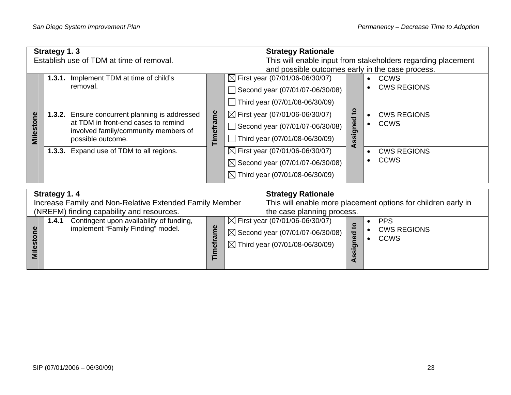| Strategy 1.3<br>Establish use of TDM at time of removal. |                                                                                                                                                       |                     | <b>Strategy Rationale</b><br>This will enable input from stakeholders regarding placement<br>and possible outcomes early in the case process. |                                   |                                   |  |  |
|----------------------------------------------------------|-------------------------------------------------------------------------------------------------------------------------------------------------------|---------------------|-----------------------------------------------------------------------------------------------------------------------------------------------|-----------------------------------|-----------------------------------|--|--|
|                                                          | 1.3.1. Implement TDM at time of child's<br>removal.                                                                                                   |                     | $\boxtimes$ First year (07/01/06-06/30/07)<br>Second year (07/01/07-06/30/08)<br>Third year $(07/01/08-06/30/09)$                             |                                   | <b>CCWS</b><br><b>CWS REGIONS</b> |  |  |
| Milestone                                                | Ensure concurrent planning is addressed<br>1.3.2.<br>at TDM in front-end cases to remind<br>involved family/community members of<br>possible outcome. | ξ<br><b>Timefra</b> | $\boxtimes$ First year (07/01/06-06/30/07)<br>Second year (07/01/07-06/30/08)<br>Third year (07/01/08-06/30/09)                               | $\mathbf{5}$<br>signed<br>S)<br>₫ | <b>CWS REGIONS</b><br><b>CCWS</b> |  |  |
|                                                          | 1.3.3. Expand use of TDM to all regions.                                                                                                              |                     | $\boxtimes$ First year (07/01/06-06/30/07)<br>$\boxtimes$ Second year (07/01/07-06/30/08)<br>$\boxtimes$ Third year (07/01/08-06/30/09)       |                                   | <b>CWS REGIONS</b><br><b>CCWS</b> |  |  |
|                                                          |                                                                                                                                                       |                     |                                                                                                                                               |                                   |                                   |  |  |

|           | Strategy 1.4                                                                           |                       |                                                               | <b>Strategy Rationale</b>                                                                                                               |                                          |                                                 |  |
|-----------|----------------------------------------------------------------------------------------|-----------------------|---------------------------------------------------------------|-----------------------------------------------------------------------------------------------------------------------------------------|------------------------------------------|-------------------------------------------------|--|
|           | Increase Family and Non-Relative Extended Family Member                                |                       | This will enable more placement options for children early in |                                                                                                                                         |                                          |                                                 |  |
|           | (NREFM) finding capability and resources.                                              |                       |                                                               | the case planning process.                                                                                                              |                                          |                                                 |  |
| <u>ca</u> | Contingent upon availability of funding,<br>1.4.1<br>implement "Family Finding" model. | Φ<br>ω<br>ď<br>Ξ<br>⊢ |                                                               | $\boxtimes$ First year (07/01/06-06/30/07)<br>$\boxtimes$ Second year (07/01/07-06/30/08)<br>$\boxtimes$ Third year (07/01/08-06/30/09) | ਠ<br>ω<br>ත<br><b>S</b><br><b>S</b><br>a | <b>PPS</b><br><b>CWS REGIONS</b><br><b>CCWS</b> |  |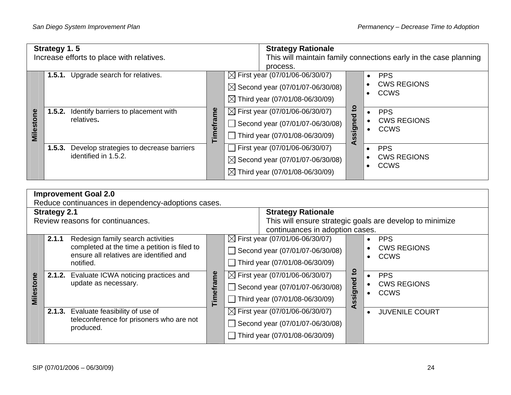|                  | Strategy 1.5 |                                                             |         | <b>Strategy Rationale</b>                                        |        |                        |                                   |  |
|------------------|--------------|-------------------------------------------------------------|---------|------------------------------------------------------------------|--------|------------------------|-----------------------------------|--|
|                  |              | Increase efforts to place with relatives.                   |         | This will maintain family connections early in the case planning |        |                        |                                   |  |
|                  |              |                                                             |         | process.                                                         |        |                        |                                   |  |
|                  |              | 1.5.1. Upgrade search for relatives.                        |         | $\boxtimes$ First year (07/01/06-06/30/07)                       |        | $\bullet$              | <b>PPS</b>                        |  |
|                  |              |                                                             |         | $\boxtimes$ Second year (07/01/07-06/30/08)                      |        | $\bullet$<br>$\bullet$ | <b>CWS REGIONS</b><br><b>CCWS</b> |  |
|                  |              | Identify barriers to placement with<br>1.5.2.<br>relatives. |         | $\boxtimes$ Third year (07/01/08-06/30/09)                       |        |                        |                                   |  |
|                  |              |                                                             | ξ       | $\boxtimes$ First year (07/01/06-06/30/07)                       | ទ<br>ರ | $\bullet$              | <b>PPS</b>                        |  |
|                  |              |                                                             |         | Second year (07/01/07-06/30/08)                                  |        | $\bullet$              | <b>CWS REGIONS</b>                |  |
| <b>Milestone</b> |              |                                                             | Timefra | Third year (07/01/08-06/30/09)                                   | ssigne | $\bullet$              | <b>CCWS</b>                       |  |
|                  | 1.5.3.       | Develop strategies to decrease barriers                     |         | First year (07/01/06-06/30/07)                                   | ⋖      |                        | <b>PPS</b>                        |  |
|                  |              | identified in 1.5.2.                                        |         | $\boxtimes$ Second year (07/01/07-06/30/08)                      |        |                        | <b>CWS REGIONS</b>                |  |
|                  |              |                                                             |         | $\boxtimes$ Third year (07/01/08-06/30/09)                       |        | $\bullet$              | <b>CCWS</b>                       |  |

|           |                                                    | <b>Improvement Goal 2.0</b>                                                                                                               |                  |                                                                                             |                                                                                                                   |            |                                                                           |  |  |  |  |
|-----------|----------------------------------------------------|-------------------------------------------------------------------------------------------------------------------------------------------|------------------|---------------------------------------------------------------------------------------------|-------------------------------------------------------------------------------------------------------------------|------------|---------------------------------------------------------------------------|--|--|--|--|
|           | Reduce continuances in dependency-adoptions cases. |                                                                                                                                           |                  |                                                                                             |                                                                                                                   |            |                                                                           |  |  |  |  |
|           | <b>Strategy 2.1</b>                                |                                                                                                                                           |                  |                                                                                             | <b>Strategy Rationale</b>                                                                                         |            |                                                                           |  |  |  |  |
|           |                                                    | Review reasons for continuances.                                                                                                          |                  | This will ensure strategic goals are develop to minimize<br>continuances in adoption cases. |                                                                                                                   |            |                                                                           |  |  |  |  |
|           | 2.1.1                                              | Redesign family search activities<br>completed at the time a petition is filed to<br>ensure all relatives are identified and<br>notified. |                  | $\Box$                                                                                      | $\boxtimes$ First year (07/01/06-06/30/07)<br>Second year (07/01/07-06/30/08)<br>Third year (07/01/08-06/30/09)   |            | <b>PPS</b><br><b>CWS REGIONS</b><br><b>CCWS</b><br>$\bullet$              |  |  |  |  |
| Milestone |                                                    | 2.1.2. Evaluate ICWA noticing practices and<br>update as necessary.                                                                       | <b>Timeframe</b> |                                                                                             | $\boxtimes$ First year (07/01/06-06/30/07)<br>Second year (07/01/07-06/30/08)<br>Third year $(07/01/08-06/30/09)$ | ssigned to | <b>PPS</b><br>$\bullet$<br><b>CWS REGIONS</b><br><b>CCWS</b><br>$\bullet$ |  |  |  |  |
|           |                                                    | 2.1.3. Evaluate feasibility of use of<br>teleconference for prisoners who are not<br>produced.                                            |                  |                                                                                             | $\boxtimes$ First year (07/01/06-06/30/07)<br>Second year (07/01/07-06/30/08)<br>Third year (07/01/08-06/30/09)   | ⋖          | <b>JUVENILE COURT</b>                                                     |  |  |  |  |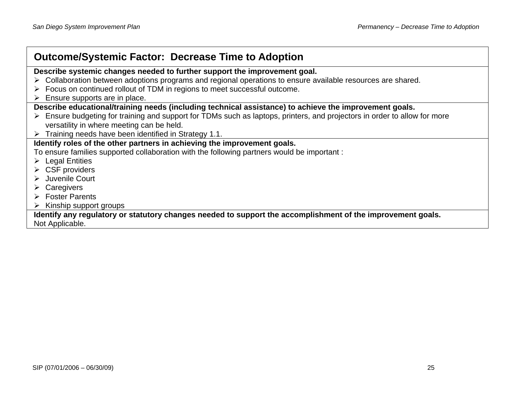| <b>Outcome/Systemic Factor: Decrease Time to Adoption</b>                                                                 |  |  |  |  |  |  |  |  |  |
|---------------------------------------------------------------------------------------------------------------------------|--|--|--|--|--|--|--|--|--|
| Describe systemic changes needed to further support the improvement goal.                                                 |  |  |  |  |  |  |  |  |  |
| > Collaboration between adoptions programs and regional operations to ensure available resources are shared.              |  |  |  |  |  |  |  |  |  |
| > Focus on continued rollout of TDM in regions to meet successful outcome.                                                |  |  |  |  |  |  |  |  |  |
| Ensure supports are in place.                                                                                             |  |  |  |  |  |  |  |  |  |
| Describe educational/training needs (including technical assistance) to achieve the improvement goals.                    |  |  |  |  |  |  |  |  |  |
| > Ensure budgeting for training and support for TDMs such as laptops, printers, and projectors in order to allow for more |  |  |  |  |  |  |  |  |  |
| versatility in where meeting can be held.                                                                                 |  |  |  |  |  |  |  |  |  |
| $\triangleright$ Training needs have been identified in Strategy 1.1.                                                     |  |  |  |  |  |  |  |  |  |
| Identify roles of the other partners in achieving the improvement goals.                                                  |  |  |  |  |  |  |  |  |  |
| To ensure families supported collaboration with the following partners would be important :                               |  |  |  |  |  |  |  |  |  |
| $\triangleright$ Legal Entities                                                                                           |  |  |  |  |  |  |  |  |  |
| $\triangleright$ CSF providers                                                                                            |  |  |  |  |  |  |  |  |  |
| $\triangleright$ Juvenile Court                                                                                           |  |  |  |  |  |  |  |  |  |
| $\triangleright$ Caregivers                                                                                               |  |  |  |  |  |  |  |  |  |
| $\triangleright$ Foster Parents                                                                                           |  |  |  |  |  |  |  |  |  |
| $\triangleright$ Kinship support groups                                                                                   |  |  |  |  |  |  |  |  |  |
| Identify any regulatory or statutory changes needed to support the accomplishment of the improvement goals.               |  |  |  |  |  |  |  |  |  |
| Not Applicable.                                                                                                           |  |  |  |  |  |  |  |  |  |
|                                                                                                                           |  |  |  |  |  |  |  |  |  |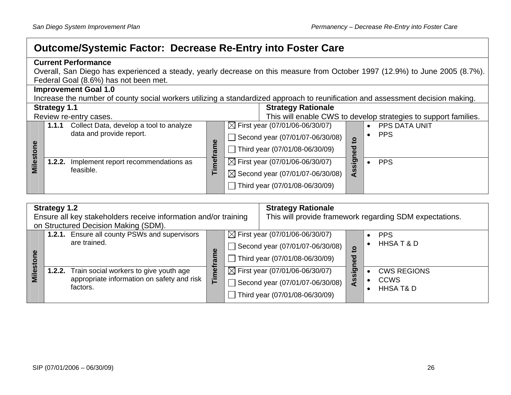# **Outcome/Systemic Factor: Decrease Re-Entry into Foster Care**

|           |                                                                                                                             | <b>Current Performance</b>                                                                                                      |        |                                             |              |                                                                 |  |  |  |  |  |
|-----------|-----------------------------------------------------------------------------------------------------------------------------|---------------------------------------------------------------------------------------------------------------------------------|--------|---------------------------------------------|--------------|-----------------------------------------------------------------|--|--|--|--|--|
|           | Overall, San Diego has experienced a steady, yearly decrease on this measure from October 1997 (12.9%) to June 2005 (8.7%). |                                                                                                                                 |        |                                             |              |                                                                 |  |  |  |  |  |
|           | Federal Goal (8.6%) has not been met.                                                                                       |                                                                                                                                 |        |                                             |              |                                                                 |  |  |  |  |  |
|           |                                                                                                                             | <b>Improvement Goal 1.0</b>                                                                                                     |        |                                             |              |                                                                 |  |  |  |  |  |
|           |                                                                                                                             | Increase the number of county social workers utilizing a standardized approach to reunification and assessment decision making. |        |                                             |              |                                                                 |  |  |  |  |  |
|           | <b>Strategy 1.1</b>                                                                                                         |                                                                                                                                 |        | <b>Strategy Rationale</b>                   |              |                                                                 |  |  |  |  |  |
|           |                                                                                                                             | Review re-entry cases.                                                                                                          |        |                                             |              | This will enable CWS to develop strategies to support families. |  |  |  |  |  |
|           | 1.1.1                                                                                                                       | Collect Data, develop a tool to analyze                                                                                         |        | $\boxtimes$ First year (07/01/06-06/30/07)  |              | <b>PPS DATA UNIT</b>                                            |  |  |  |  |  |
|           |                                                                                                                             | data and provide report.                                                                                                        |        | Second year (07/01/07-06/30/08)             |              | <b>PPS</b>                                                      |  |  |  |  |  |
|           |                                                                                                                             |                                                                                                                                 | ame    |                                             | $\circ$<br>▿ |                                                                 |  |  |  |  |  |
|           |                                                                                                                             |                                                                                                                                 |        | Third year (07/01/08-06/30/09)              | ω            |                                                                 |  |  |  |  |  |
| Milestone | 1.2.2.                                                                                                                      | Implement report recommendations as                                                                                             | Timefi | $\boxtimes$ First year (07/01/06-06/30/07)  | <u>। ସ</u>   | <b>PPS</b>                                                      |  |  |  |  |  |
|           |                                                                                                                             | feasible.                                                                                                                       |        | $\boxtimes$ Second year (07/01/07-06/30/08) | <b>S</b>     |                                                                 |  |  |  |  |  |
|           |                                                                                                                             |                                                                                                                                 |        |                                             |              |                                                                 |  |  |  |  |  |
|           |                                                                                                                             |                                                                                                                                 |        | Third year (07/01/08-06/30/09)              |              |                                                                 |  |  |  |  |  |

|              | <b>Strategy 1.2</b><br>Ensure all key stakeholders receive information and/or training<br>on Structured Decision Making (SDM). | <b>Strategy Rationale</b> | This will provide framework regarding SDM expectations. |                                                                                                                     |                   |                                                           |
|--------------|--------------------------------------------------------------------------------------------------------------------------------|---------------------------|---------------------------------------------------------|---------------------------------------------------------------------------------------------------------------------|-------------------|-----------------------------------------------------------|
| <u>ັທ</u>    | 1.2.1. Ensure all county PSWs and supervisors<br>are trained.                                                                  | ω<br>É                    |                                                         | $\boxtimes$ First year (07/01/06-06/30/07)<br>Second year $(07/01/07 - 06/30/08)$<br>Third year (07/01/08-06/30/09) | $\circ$<br>ъ<br>ω | <b>PPS</b><br>HHSAT&D                                     |
| <b>Miles</b> | 1.2.2. Train social workers to give youth age<br>appropriate information on safety and risk<br>factors.                        | Timet                     |                                                         | $\boxtimes$ First year (07/01/06-06/30/07)<br>Second year $(07/01/07 - 06/30/08)$<br>Third year (07/01/08-06/30/09) | <u>ာ</u><br>ທ     | <b>CWS REGIONS</b><br><b>CCWS</b><br><b>HHSA T&amp; D</b> |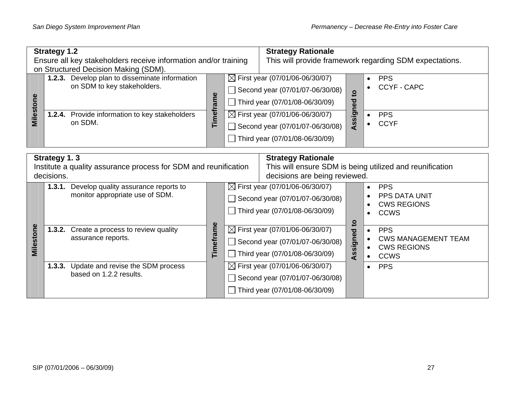| <b>Strategy 1.2</b><br>Ensure all key stakeholders receive information and/or training        |  |                                                                                                                                                                                    |           |  | <b>Strategy Rationale</b>                                                                                                                                                                                                          |                          |                        | This will provide framework regarding SDM expectations.                       |  |
|-----------------------------------------------------------------------------------------------|--|------------------------------------------------------------------------------------------------------------------------------------------------------------------------------------|-----------|--|------------------------------------------------------------------------------------------------------------------------------------------------------------------------------------------------------------------------------------|--------------------------|------------------------|-------------------------------------------------------------------------------|--|
| Milestone                                                                                     |  | on Structured Decision Making (SDM).<br>1.2.3. Develop plan to disseminate information<br>on SDM to key stakeholders.<br>1.2.4. Provide information to key stakeholders<br>on SDM. | Timeframe |  | $\boxtimes$ First year (07/01/06-06/30/07)<br>Second year (07/01/07-06/30/08)<br>Third year (07/01/08-06/30/09)<br>$\boxtimes$ First year (07/01/06-06/30/07)<br>Second year (07/01/07-06/30/08)<br>Third year (07/01/08-06/30/09) | $\mathbf{a}$<br>Assigned | $\bullet$              | <b>PPS</b><br><b>CCYF - CAPC</b><br><b>PPS</b><br><b>CCYF</b>                 |  |
| Strategy 1.3<br>Institute a quality assurance process for SDM and reunification<br>decisions. |  |                                                                                                                                                                                    |           |  | <b>Strategy Rationale</b><br>This will ensure SDM is being utilized and reunification<br>decisions are being reviewed.                                                                                                             |                          |                        |                                                                               |  |
|                                                                                               |  | 1.3.1. Develop quality assurance reports to<br>monitor appropriate use of SDM.                                                                                                     |           |  | $\boxtimes$ First year (07/01/06-06/30/07)<br>Second year (07/01/07-06/30/08)<br>Third year (07/01/08-06/30/09)                                                                                                                    |                          | $\bullet$              | <b>PPS</b><br><b>PPS DATA UNIT</b><br><b>CWS REGIONS</b><br><b>CCWS</b>       |  |
| Milestone                                                                                     |  | 1.3.2. Create a process to review quality<br>assurance reports.                                                                                                                    | Timeframe |  | $\boxtimes$ First year (07/01/06-06/30/07)<br>Second year (07/01/07-06/30/08)<br>Third year (07/01/08-06/30/09)                                                                                                                    | Assigned to              | $\bullet$<br>$\bullet$ | <b>PPS</b><br><b>CWS MANAGEMENT TEAM</b><br><b>CWS REGIONS</b><br><b>CCWS</b> |  |
|                                                                                               |  | 1.3.3. Update and revise the SDM process<br>based on 1.2.2 results.                                                                                                                |           |  | $\boxtimes$ First year (07/01/06-06/30/07)<br>Second year (07/01/07-06/30/08)<br>Third year (07/01/08-06/30/09)                                                                                                                    |                          | $\bullet$              | <b>PPS</b>                                                                    |  |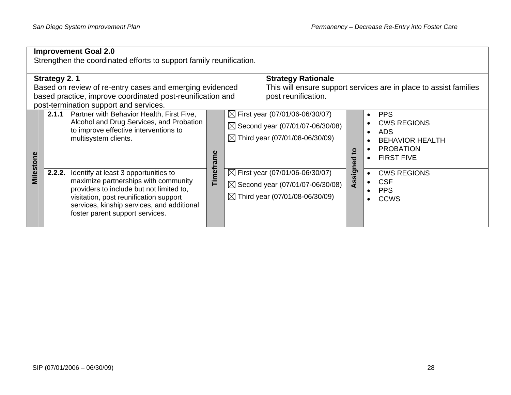|                                                                                                                                                                                  | <b>Improvement Goal 2.0</b><br>Strengthen the coordinated efforts to support family reunification. |                                                                                                                                                                                                                                                     |           |                                                  |                                                                                                                                         |                         |                                                                                                                   |  |  |  |  |  |
|----------------------------------------------------------------------------------------------------------------------------------------------------------------------------------|----------------------------------------------------------------------------------------------------|-----------------------------------------------------------------------------------------------------------------------------------------------------------------------------------------------------------------------------------------------------|-----------|--------------------------------------------------|-----------------------------------------------------------------------------------------------------------------------------------------|-------------------------|-------------------------------------------------------------------------------------------------------------------|--|--|--|--|--|
| Strategy 2.1<br>Based on review of re-entry cases and emerging evidenced<br>based practice, improve coordinated post-reunification and<br>post-termination support and services. |                                                                                                    |                                                                                                                                                                                                                                                     |           | <b>Strategy Rationale</b><br>post reunification. |                                                                                                                                         |                         | This will ensure support services are in place to assist families                                                 |  |  |  |  |  |
|                                                                                                                                                                                  | 2.1.1                                                                                              | Partner with Behavior Health, First Five,<br>Alcohol and Drug Services, and Probation<br>to improve effective interventions to<br>multisystem clients.                                                                                              |           |                                                  | $\boxtimes$ First year (07/01/06-06/30/07)<br>$\boxtimes$ Second year (07/01/07-06/30/08)<br>$\boxtimes$ Third year (07/01/08-06/30/09) | $\overline{\mathbf{c}}$ | <b>PPS</b><br><b>CWS REGIONS</b><br><b>ADS</b><br><b>BEHAVIOR HEALTH</b><br><b>PROBATION</b><br><b>FIRST FIVE</b> |  |  |  |  |  |
| Milestone                                                                                                                                                                        | 2.2.2.                                                                                             | Identify at least 3 opportunities to<br>maximize partnerships with community<br>providers to include but not limited to,<br>visitation, post reunification support<br>services, kinship services, and additional<br>foster parent support services. | Timeframe |                                                  | $\boxtimes$ First year (07/01/06-06/30/07)<br>$\boxtimes$ Second year (07/01/07-06/30/08)<br>$\boxtimes$ Third year (07/01/08-06/30/09) | Assigned                | <b>CWS REGIONS</b><br><b>CSF</b><br><b>PPS</b><br><b>CCWS</b>                                                     |  |  |  |  |  |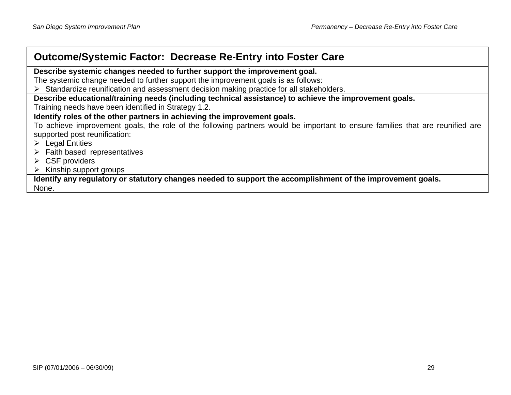# **Outcome/Systemic Factor: Decrease Re-Entry into Foster Care**

**Describe systemic changes needed to further support the improvement goal.** 

The systemic change needed to further support the improvement goals is as follows:

¾ Standardize reunification and assessment decision making practice for all stakeholders.

**Describe educational/training needs (including technical assistance) to achieve the improvement goals.** 

Training needs have been identified in Strategy 1.2.

#### **Identify roles of the other partners in achieving the improvement goals.**

To achieve improvement goals, the role of the following partners would be important to ensure families that are reunified are supported post reunification:

- $\triangleright$  Legal Entities
- $\triangleright$  Faith based representatives
- $\triangleright$  CSF providers
- $\triangleright$  Kinship support groups

**Identify any regulatory or statutory changes needed to support the accomplishment of the improvement goals.**  None.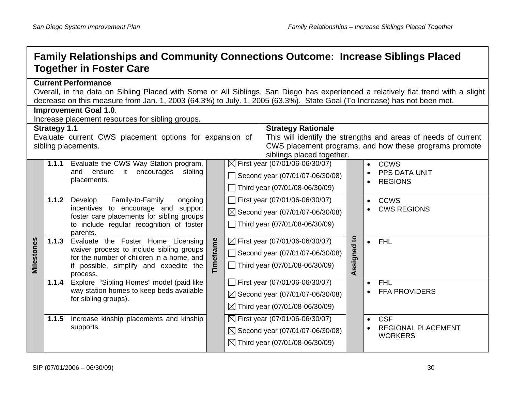# **Family Relationships and Community Connections Outcome: Increase Siblings Placed Together in Foster Care**

#### **Current Performance**

Overall, in the data on Sibling Placed with Some or All Siblings, San Diego has experienced a relatively flat trend with a slight decrease on this measure from Jan. 1, 2003 (64.3%) to July. 1, 2005 (63.3%). State Goal (To Increase) has not been met. **Improvement Goal 1.0**.

|            | p. 0 . 00 00a.<br>Increase placement resources for sibling groups. |                                                                                                                                                                                    |                           |                                                                                                                          |                                                                                                                                         |             |                                                                        |  |  |  |  |
|------------|--------------------------------------------------------------------|------------------------------------------------------------------------------------------------------------------------------------------------------------------------------------|---------------------------|--------------------------------------------------------------------------------------------------------------------------|-----------------------------------------------------------------------------------------------------------------------------------------|-------------|------------------------------------------------------------------------|--|--|--|--|
|            | <b>Strategy 1.1</b><br><b>Strategy Rationale</b>                   |                                                                                                                                                                                    |                           |                                                                                                                          |                                                                                                                                         |             |                                                                        |  |  |  |  |
|            |                                                                    | Evaluate current CWS placement options for expansion of<br>sibling placements.                                                                                                     | siblings placed together. | This will identify the strengths and areas of needs of current<br>CWS placement programs, and how these programs promote |                                                                                                                                         |             |                                                                        |  |  |  |  |
|            | 1.1.1                                                              | Evaluate the CWS Way Station program,<br>sibling<br>ensure<br>it<br>encourages<br>and<br>placements.                                                                               |                           |                                                                                                                          | $\boxtimes$ First year (07/01/06-06/30/07)<br>Second year (07/01/07-06/30/08)<br>Third year (07/01/08-06/30/09)                         |             | <b>CCWS</b><br>$\bullet$<br><b>PPS DATA UNIT</b><br><b>REGIONS</b>     |  |  |  |  |
| Milestones | 1.1.2                                                              | Family-to-Family<br>Develop<br>ongoing<br>incentives to encourage and support<br>foster care placements for sibling groups<br>to include regular recognition of foster<br>parents. |                           |                                                                                                                          | First year (07/01/06-06/30/07)<br>$\boxtimes$ Second year (07/01/07-06/30/08)<br>Third year (07/01/08-06/30/09)                         |             | <b>CCWS</b><br>$\bullet$<br><b>CWS REGIONS</b>                         |  |  |  |  |
|            | 1.1.3                                                              | Evaluate the Foster Home Licensing<br>waiver process to include sibling groups<br>for the number of children in a home, and<br>if possible, simplify and expedite the<br>process.  | Timeframe                 |                                                                                                                          | $\boxtimes$ First year (07/01/06-06/30/07)<br>Second year (07/01/07-06/30/08)<br>Third year (07/01/08-06/30/09)                         | Assigned to | <b>FHL</b><br>$\bullet$                                                |  |  |  |  |
|            | 1.1.4                                                              | Explore "Sibling Homes" model (paid like<br>way station homes to keep beds available<br>for sibling groups).                                                                       |                           |                                                                                                                          | First year (07/01/06-06/30/07)<br>$\boxtimes$ Second year (07/01/07-06/30/08)<br>$\boxtimes$ Third year (07/01/08-06/30/09)             |             | <b>FHL</b><br>$\bullet$<br><b>FFA PROVIDERS</b>                        |  |  |  |  |
|            | 1.1.5                                                              | Increase kinship placements and kinship<br>supports.                                                                                                                               |                           |                                                                                                                          | $\boxtimes$ First year (07/01/06-06/30/07)<br>$\boxtimes$ Second year (07/01/07-06/30/08)<br>$\boxtimes$ Third year (07/01/08-06/30/09) |             | <b>CSF</b><br>$\bullet$<br><b>REGIONAL PLACEMENT</b><br><b>WORKERS</b> |  |  |  |  |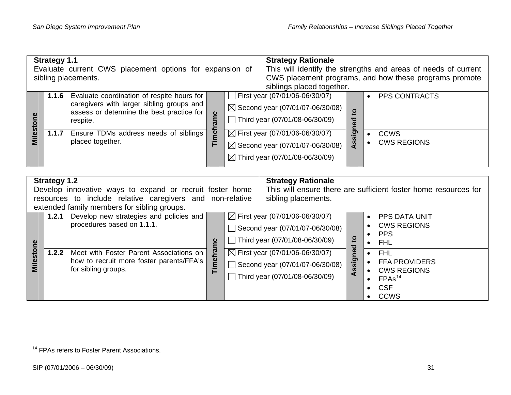| <b>Strategy 1.1</b><br>Evaluate current CWS placement options for expansion of<br>sibling placements. |       |                                                                                                                                                  |                        |  | <b>Strategy Rationale</b><br>siblings placed together.                                                                                  |                     | This will identify the strengths and areas of needs of current<br>CWS placement programs, and how these programs promote |
|-------------------------------------------------------------------------------------------------------|-------|--------------------------------------------------------------------------------------------------------------------------------------------------|------------------------|--|-----------------------------------------------------------------------------------------------------------------------------------------|---------------------|--------------------------------------------------------------------------------------------------------------------------|
| Milesto                                                                                               | 1.1.6 | Evaluate coordination of respite hours for<br>caregivers with larger sibling groups and<br>assess or determine the best practice for<br>respite. | $\mathbf{\omega}$<br>Ě |  | First year (07/01/06-06/30/07)<br>$\boxtimes$ Second year (07/01/07-06/30/08)<br>Third year (07/01/08-06/30/09)                         | $\mathbf{S}$<br>ned | <b>PPS CONTRACTS</b>                                                                                                     |
|                                                                                                       | 1.1.7 | Ensure TDMs address needs of siblings<br>placed together.                                                                                        | mei<br>E<br>Ē          |  | $\boxtimes$ First year (07/01/06-06/30/07)<br>$\boxtimes$ Second year (07/01/07-06/30/08)<br>$\boxtimes$ Third year (07/01/08-06/30/09) | ഗ്ഗ                 | <b>CCWS</b><br><b>CWS REGIONS</b>                                                                                        |

| <b>Strategy 1.2</b> |       |                                                                 |     |                                  | <b>Strategy Rationale</b>                  |         |                                                                 |
|---------------------|-------|-----------------------------------------------------------------|-----|----------------------------------|--------------------------------------------|---------|-----------------------------------------------------------------|
|                     |       | Develop innovative ways to expand or recruit foster home        |     |                                  |                                            |         | This will ensure there are sufficient foster home resources for |
|                     |       | resources to include relative caregivers and non-relative       |     |                                  | sibling placements.                        |         |                                                                 |
|                     |       | extended family members for sibling groups.                     |     |                                  |                                            |         |                                                                 |
|                     | 1.2.1 | Develop new strategies and policies and                         |     |                                  | $\boxtimes$ First year (07/01/06-06/30/07) |         | <b>PPS DATA UNIT</b>                                            |
|                     |       | procedures based on 1.1.1.<br>ၜႍ                                |     |                                  | Second year (07/01/07-06/30/08)            |         | <b>CWS REGIONS</b><br><b>PPS</b>                                |
|                     |       |                                                                 |     | Third year $(07/01/08-06/30/09)$ |                                            | ខ្<br>ਠ | <b>FHL</b>                                                      |
|                     | 1.2.2 | Meet with Foster Parent Associations on                         | E.I |                                  | $\boxtimes$ First year (07/01/06-06/30/07) |         | <b>FHL</b>                                                      |
| Milestone           |       | how to recruit more foster parents/FFA's<br>for sibling groups. | met |                                  | Second year (07/01/07-06/30/08)            | Assigne | <b>FFA PROVIDERS</b><br><b>CWS REGIONS</b>                      |
|                     |       |                                                                 |     |                                  | Third year $(07/01/08-06/30/09)$           |         | FPAs <sup>14</sup>                                              |
|                     |       |                                                                 |     |                                  |                                            |         | <b>CSF</b><br>$\bullet$                                         |
|                     |       |                                                                 |     |                                  |                                            |         | <b>CCWS</b>                                                     |

<span id="page-36-0"></span><sup>&</sup>lt;sup>14</sup> FPAs refers to Foster Parent Associations.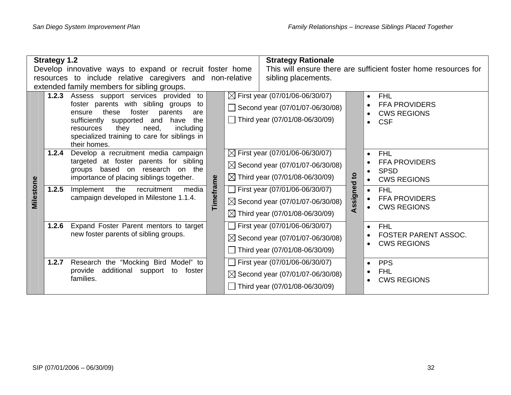|           | <b>Strategy 1.2</b> |                                                                                                                                                                                                                                                                                     |           | <b>Strategy Rationale</b>                                                                                                               |             |                                                                                      |  |  |
|-----------|---------------------|-------------------------------------------------------------------------------------------------------------------------------------------------------------------------------------------------------------------------------------------------------------------------------------|-----------|-----------------------------------------------------------------------------------------------------------------------------------------|-------------|--------------------------------------------------------------------------------------|--|--|
|           |                     | Develop innovative ways to expand or recruit foster home                                                                                                                                                                                                                            |           | This will ensure there are sufficient foster home resources for                                                                         |             |                                                                                      |  |  |
|           |                     | resources to include relative caregivers and non-relative                                                                                                                                                                                                                           |           | sibling placements.                                                                                                                     |             |                                                                                      |  |  |
|           |                     | extended family members for sibling groups.                                                                                                                                                                                                                                         |           |                                                                                                                                         |             |                                                                                      |  |  |
|           | 1.2.3               | Assess support services provided to<br>foster parents with sibling groups to<br>these<br>foster<br>parents<br>ensure<br>are<br>sufficiently supported and<br>the<br>have<br>they<br>need,<br>including<br>resources<br>specialized training to care for siblings in<br>their homes. | $\Box$    | $\boxtimes$ First year (07/01/06-06/30/07)<br>Second year (07/01/07-06/30/08)<br>Third year (07/01/08-06/30/09)                         |             | <b>FHL</b><br><b>FFA PROVIDERS</b><br><b>CWS REGIONS</b><br>$\bullet$<br><b>CSF</b>  |  |  |
|           | 1.2.4               | Develop a recruitment media campaign<br>targeted at foster parents for sibling<br>based on research<br>on the<br>groups<br>importance of placing siblings together.                                                                                                                 |           | $\boxtimes$ First year (07/01/06-06/30/07)<br>$\boxtimes$ Second year (07/01/07-06/30/08)<br>$\boxtimes$ Third year (07/01/08-06/30/09) |             | <b>FHL</b><br><b>FFA PROVIDERS</b><br><b>SPSD</b><br>$\bullet$<br><b>CWS REGIONS</b> |  |  |
| Milestone | 1.2.5               | media<br>the<br>recruitment<br>Implement<br>campaign developed in Milestone 1.1.4.                                                                                                                                                                                                  | Timeframe | First year (07/01/06-06/30/07)<br>$\boxtimes$ Second year (07/01/07-06/30/08)<br>$\boxtimes$ Third year (07/01/08-06/30/09)             | Assigned to | <b>FHL</b><br>$\bullet$<br><b>FFA PROVIDERS</b><br><b>CWS REGIONS</b>                |  |  |
|           | 1.2.6               | Expand Foster Parent mentors to target<br>new foster parents of sibling groups.                                                                                                                                                                                                     |           | First year (07/01/06-06/30/07)<br>⊠ Second year (07/01/07-06/30/08)<br>Third year (07/01/08-06/30/09)                                   |             | <b>FHL</b><br>$\bullet$<br><b>FOSTER PARENT ASSOC.</b><br><b>CWS REGIONS</b>         |  |  |
|           | 1.2.7               | Research the "Mocking Bird Model" to<br>additional support<br>provide<br>foster<br>to<br>families.                                                                                                                                                                                  |           | First year (07/01/06-06/30/07)<br>$\boxtimes$ Second year (07/01/07-06/30/08)<br>Third year (07/01/08-06/30/09)                         |             | <b>PPS</b><br><b>FHL</b><br><b>CWS REGIONS</b>                                       |  |  |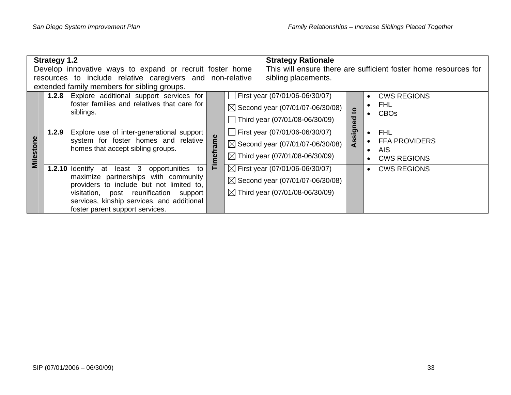|                                             | <b>Strategy 1.2</b> |                                                                                  |      |                                                                 | <b>Strategy Rationale</b>                   |              |                                  |  |  |
|---------------------------------------------|---------------------|----------------------------------------------------------------------------------|------|-----------------------------------------------------------------|---------------------------------------------|--------------|----------------------------------|--|--|
|                                             |                     | Develop innovative ways to expand or recruit foster home                         |      | This will ensure there are sufficient foster home resources for |                                             |              |                                  |  |  |
|                                             |                     | resources to include relative caregivers and non-relative                        |      |                                                                 | sibling placements.                         |              |                                  |  |  |
| extended family members for sibling groups. |                     |                                                                                  |      |                                                                 |                                             |              |                                  |  |  |
|                                             |                     | <b>1.2.8</b> Explore additional support services for                             |      |                                                                 | First year (07/01/06-06/30/07)              |              | <b>CWS REGIONS</b>               |  |  |
|                                             |                     | foster families and relatives that care for                                      |      |                                                                 | $\boxtimes$ Second year (07/01/07-06/30/08) | $\mathbf{c}$ | <b>FHL</b>                       |  |  |
|                                             |                     | siblings.                                                                        |      |                                                                 | Third year (07/01/08-06/30/09)              |              | <b>CBOs</b>                      |  |  |
|                                             | 1.2.9               | Explore use of inter-generational support                                        | rame |                                                                 | First year (07/01/06-06/30/07)              | Assigned     | <b>FHL</b><br>$\bullet$          |  |  |
| <u>စု</u>                                   |                     | system for foster homes and relative<br>homes that accept sibling groups.        |      |                                                                 | $\boxtimes$ Second year (07/01/07-06/30/08) |              | <b>FFA PROVIDERS</b>             |  |  |
| <b>Milestor</b>                             |                     |                                                                                  | nef  |                                                                 | $\boxtimes$ Third year (07/01/08-06/30/09)  |              | <b>AIS</b><br><b>CWS REGIONS</b> |  |  |
|                                             |                     | <b>1.2.10 Identify at least 3</b><br>opportunities to                            | F    |                                                                 | $\boxtimes$ First year (07/01/06-06/30/07)  |              | <b>CWS REGIONS</b>               |  |  |
|                                             |                     | maximize partnerships with community<br>providers to include but not limited to, |      |                                                                 | $\boxtimes$ Second year (07/01/07-06/30/08) |              |                                  |  |  |
|                                             |                     | visitation, post reunification support                                           |      |                                                                 | $\boxtimes$ Third year (07/01/08-06/30/09)  |              |                                  |  |  |
|                                             |                     | services, kinship services, and additional                                       |      |                                                                 |                                             |              |                                  |  |  |
|                                             |                     | foster parent support services.                                                  |      |                                                                 |                                             |              |                                  |  |  |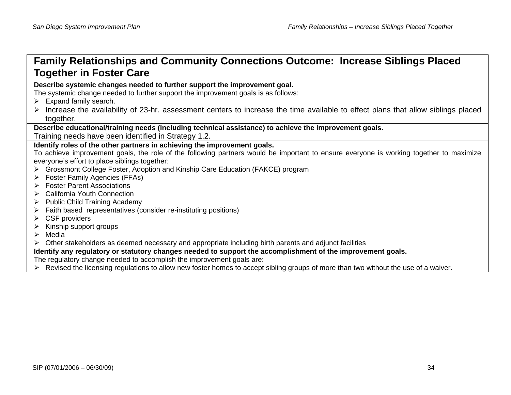# **Family Relationships and Community Connections Outcome: Increase Siblings Placed Together in Foster Care**

**Describe systemic changes needed to further support the improvement goal.** 

The systemic change needed to further support the improvement goals is as follows:

- $\triangleright$  Expand family search.
- $\triangleright$  Increase the availability of 23-hr. assessment centers to increase the time available to effect plans that allow siblings placed together.

**Describe educational/training needs (including technical assistance) to achieve the improvement goals.** 

Training needs have been identified in Strategy 1.2.

#### **Identify roles of the other partners in achieving the improvement goals.**

To achieve improvement goals, the role of the following partners would be important to ensure everyone is working together to maximize everyone's effort to place siblings together:

- ¾ Grossmont College Foster, Adoption and Kinship Care Education (FAKCE) program
- ¾ Foster Family Agencies (FFAs)
- $\triangleright$  Foster Parent Associations
- ¾ California Youth Connection
- $\triangleright$  Public Child Training Academy
- $\triangleright$  Faith based representatives (consider re-instituting positions)
- $\triangleright$  CSF providers
- $\triangleright$  Kinship support groups
- $\triangleright$  Media

¾ Other stakeholders as deemed necessary and appropriate including birth parents and adjunct facilities

#### **Identify any regulatory or statutory changes needed to support the accomplishment of the improvement goals.**

The regulatory change needed to accomplish the improvement goals are:

 $\triangleright$  Revised the licensing regulations to allow new foster homes to accept sibling groups of more than two without the use of a waiver.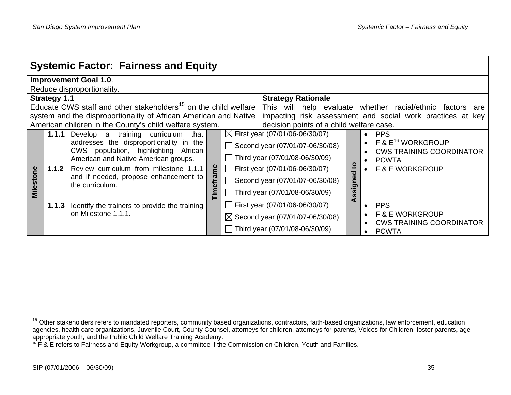|                     | <b>Systemic Factor: Fairness and Equity</b> |                                                                                                                                                                                                                                                                                        |              |  |                                                                                                                                                                                                                        |                         |                                                                                                                              |  |  |  |
|---------------------|---------------------------------------------|----------------------------------------------------------------------------------------------------------------------------------------------------------------------------------------------------------------------------------------------------------------------------------------|--------------|--|------------------------------------------------------------------------------------------------------------------------------------------------------------------------------------------------------------------------|-------------------------|------------------------------------------------------------------------------------------------------------------------------|--|--|--|
|                     | <b>Improvement Goal 1.0.</b>                |                                                                                                                                                                                                                                                                                        |              |  |                                                                                                                                                                                                                        |                         |                                                                                                                              |  |  |  |
|                     | Reduce disproportionality.                  |                                                                                                                                                                                                                                                                                        |              |  |                                                                                                                                                                                                                        |                         |                                                                                                                              |  |  |  |
|                     | <b>Strategy 1.1</b>                         |                                                                                                                                                                                                                                                                                        |              |  | <b>Strategy Rationale</b>                                                                                                                                                                                              |                         |                                                                                                                              |  |  |  |
|                     |                                             | Educate CWS staff and other stakeholders <sup>15</sup> on the child welfare                                                                                                                                                                                                            |              |  |                                                                                                                                                                                                                        |                         | This will help evaluate whether racial/ethnic factors are                                                                    |  |  |  |
|                     |                                             | system and the disproportionality of African American and Native                                                                                                                                                                                                                       |              |  |                                                                                                                                                                                                                        |                         | impacting risk assessment and social work practices at key                                                                   |  |  |  |
|                     |                                             | American children in the County's child welfare system.                                                                                                                                                                                                                                |              |  | decision points of a child welfare case.                                                                                                                                                                               |                         |                                                                                                                              |  |  |  |
| ၔႍ<br><b>Milest</b> | 1.1.2                                       | <b>1.1.1</b> Develop a<br>training curriculum<br>that<br>addresses the disproportionality in the<br>CWS population, highlighting African<br>American and Native American groups.<br>Review curriculum from milestone 1.1.1<br>and if needed, propose enhancement to<br>the curriculum. | e<br>Timefra |  | $\boxtimes$ First year (07/01/06-06/30/07)<br>Second year (07/01/07-06/30/08)<br>Third year (07/01/08-06/30/09)<br>First year (07/01/06-06/30/07)<br>Second year (07/01/07-06/30/08)<br>Third year (07/01/08-06/30/09) | <u>۽</u><br>ठ<br>ssigne | <b>PPS</b><br>F & E <sup>16</sup> WORKGROUP<br><b>CWS TRAINING COORDINATOR</b><br><b>PCWTA</b><br><b>F &amp; E WORKGROUP</b> |  |  |  |
|                     | 1.1.3                                       | Identify the trainers to provide the training<br>on Milestone 1.1.1.                                                                                                                                                                                                                   |              |  | First year (07/01/06-06/30/07)<br>$\boxtimes$ Second year (07/01/07-06/30/08)<br>Third year (07/01/08-06/30/09)                                                                                                        | ⋖                       | <b>PPS</b><br><b>F &amp; E WORKGROUP</b><br><b>CWS TRAINING COORDINATOR</b><br><b>PCWTA</b>                                  |  |  |  |

<span id="page-40-0"></span><sup>&</sup>lt;sup>15</sup> Other stakeholders refers to mandated reporters, community based organizations, contractors, faith-based organizations, law enforcement, education agencies, health care organizations, Juvenile Court, County Counsel, attorneys for children, attorneys for parents, Voices for Children, foster parents, ageappropriate youth, and the Public Child Welfare Training Academy.

<span id="page-40-1"></span><sup>&</sup>lt;sup>16</sup> F & E refers to Fairness and Equity Workgroup, a committee if the Commission on Children, Youth and Families.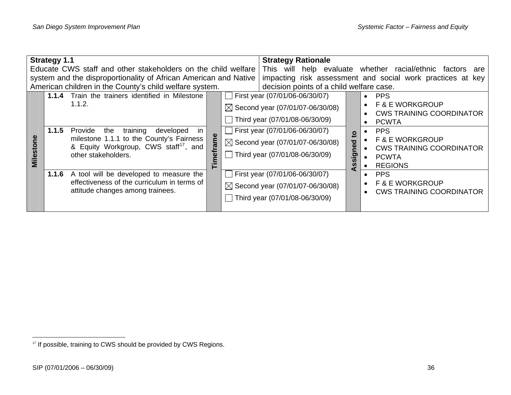| <b>Strategy 1.1</b><br>Educate CWS staff and other stakeholders on the child welfare                                        |       |                                                                                                                                                                        |  |                                                                                                        | <b>Strategy Rationale</b>                                                                                         |  |               | This will help evaluate whether racial/ethnic factors are                                                     |
|-----------------------------------------------------------------------------------------------------------------------------|-------|------------------------------------------------------------------------------------------------------------------------------------------------------------------------|--|--------------------------------------------------------------------------------------------------------|-------------------------------------------------------------------------------------------------------------------|--|---------------|---------------------------------------------------------------------------------------------------------------|
| system and the disproportionality of African American and Native<br>American children in the County's child welfare system. |       |                                                                                                                                                                        |  | impacting risk assessment and social work practices at key<br>decision points of a child welfare case. |                                                                                                                   |  |               |                                                                                                               |
|                                                                                                                             |       | <b>1.1.4</b> Train the trainers identified in Milestone<br>1.1.2.                                                                                                      |  |                                                                                                        | First year (07/01/06-06/30/07)<br>$\boxtimes$ Second year (07/01/07-06/30/08)<br>Third year (07/01/08-06/30/09)   |  |               | <b>PPS</b><br>F & E WORKGROUP<br><b>CWS TRAINING COORDINATOR</b><br><b>PCWTA</b>                              |
| Milesto                                                                                                                     | 1.1.5 | Provide<br>developed<br>in.<br>training<br>the<br>milestone 1.1.1 to the County's Fairness<br>& Equity Workgroup, CWS staff <sup>17</sup> , and<br>other stakeholders. |  |                                                                                                        | First year (07/01/06-06/30/07)<br>$\boxtimes$ Second year (07/01/07-06/30/08)<br>Third year $(07/01/08-06/30/09)$ |  | ខ្<br>ssigned | <b>PPS</b><br><b>F &amp; E WORKGROUP</b><br><b>CWS TRAINING COORDINATOR</b><br><b>PCWTA</b><br><b>REGIONS</b> |
|                                                                                                                             | 1.1.6 | A tool will be developed to measure the<br>effectiveness of the curriculum in terms of<br>attitude changes among trainees.                                             |  |                                                                                                        | First year (07/01/06-06/30/07)<br>$\boxtimes$ Second year (07/01/07-06/30/08)<br>Third year (07/01/08-06/30/09)   |  |               | <b>PPS</b><br><b>F &amp; E WORKGROUP</b><br><b>CWS TRAINING COORDINATOR</b>                                   |

<span id="page-41-0"></span><sup>&</sup>lt;sup>17</sup> If possible, training to CWS should be provided by CWS Regions.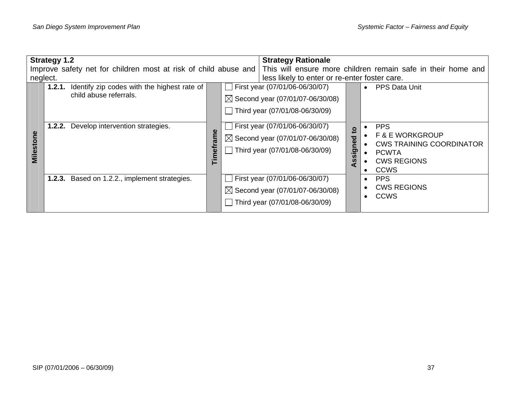|           | <b>Strategy 1.2</b>                                                                                                            |           |                                  | <b>Strategy Rationale</b>                                                     |              |                                                                             |  |
|-----------|--------------------------------------------------------------------------------------------------------------------------------|-----------|----------------------------------|-------------------------------------------------------------------------------|--------------|-----------------------------------------------------------------------------|--|
|           | Improve safety net for children most at risk of child abuse and   This will ensure more children remain safe in their home and |           |                                  |                                                                               |              |                                                                             |  |
|           | neglect.                                                                                                                       |           |                                  | less likely to enter or re-enter foster care.                                 |              |                                                                             |  |
|           | <b>1.2.1.</b> Identify zip codes with the highest rate of                                                                      |           |                                  | First year (07/01/06-06/30/07)                                                |              | <b>PPS Data Unit</b><br>$\bullet$                                           |  |
|           | child abuse referrals.                                                                                                         |           |                                  | $\boxtimes$ Second year (07/01/07-06/30/08)                                   |              |                                                                             |  |
|           |                                                                                                                                |           | Third year $(07/01/08-06/30/09)$ |                                                                               |              |                                                                             |  |
|           | Develop intervention strategies.<br>1.2.2.                                                                                     |           |                                  | First year (07/01/06-06/30/07)<br>$\boxtimes$ Second year (07/01/07-06/30/08) | $\mathbf{5}$ | <b>PPS</b><br><b>F &amp; E WORKGROUP</b><br><b>CWS TRAINING COORDINATOR</b> |  |
| Milestone |                                                                                                                                | Timeframe |                                  | Third year $(07/01/08-06/30/09)$                                              | signed<br>S) | <b>PCWTA</b><br><b>CWS REGIONS</b><br><b>CCWS</b>                           |  |
|           | <b>1.2.3.</b> Based on 1.2.2., implement strategies.                                                                           |           |                                  | First year (07/01/06-06/30/07)                                                |              | <b>PPS</b>                                                                  |  |
|           |                                                                                                                                |           |                                  | $\boxtimes$ Second year (07/01/07-06/30/08)                                   |              | <b>CWS REGIONS</b><br><b>CCWS</b>                                           |  |
|           |                                                                                                                                |           |                                  | Third year (07/01/08-06/30/09)                                                |              |                                                                             |  |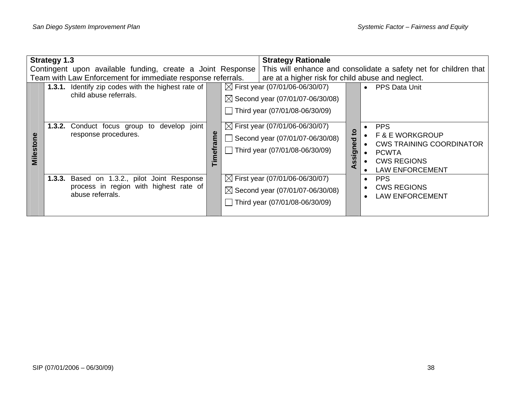| <b>Strategy 1.3</b><br>Contingent upon available funding, create a Joint Response<br>Team with Law Enforcement for immediate response referrals. |  |                                                                                                            |  | <b>Strategy Rationale</b><br>This will enhance and consolidate a safety net for children that<br>are at a higher risk for child abuse and neglect. |                                                                                                                               |                                              |                                                                                                                                             |
|--------------------------------------------------------------------------------------------------------------------------------------------------|--|------------------------------------------------------------------------------------------------------------|--|----------------------------------------------------------------------------------------------------------------------------------------------------|-------------------------------------------------------------------------------------------------------------------------------|----------------------------------------------|---------------------------------------------------------------------------------------------------------------------------------------------|
|                                                                                                                                                  |  | 1.3.1. Identify zip codes with the highest rate of<br>child abuse referrals.                               |  |                                                                                                                                                    | $\boxtimes$ First year (07/01/06-06/30/07)<br>$\boxtimes$ Second year (07/01/07-06/30/08)<br>Third year $(07/01/08-06/30/09)$ |                                              | <b>PPS Data Unit</b><br>$\bullet$                                                                                                           |
| <b>Milesto</b>                                                                                                                                   |  | develop joint<br><b>1.3.2.</b> Conduct focus group to<br>response procedures.                              |  |                                                                                                                                                    | $\boxtimes$ First year (07/01/06-06/30/07)<br>Second year (07/01/07-06/30/08)<br>Third year (07/01/08-06/30/09)               | 5<br>$\overline{e}$<br><u>ဇာ</u><br><b>S</b> | <b>PPS</b><br><b>F &amp; E WORKGROUP</b><br><b>CWS TRAINING COORDINATOR</b><br><b>PCWTA</b><br><b>CWS REGIONS</b><br><b>LAW ENFORCEMENT</b> |
|                                                                                                                                                  |  | 1.3.3. Based on 1.3.2., pilot Joint Response<br>process in region with highest rate of<br>abuse referrals. |  |                                                                                                                                                    | $\boxtimes$ First year (07/01/06-06/30/07)<br>$\boxtimes$ Second year (07/01/07-06/30/08)<br>Third year (07/01/08-06/30/09)   |                                              | <b>PPS</b><br><b>CWS REGIONS</b><br><b>LAW ENFORCEMENT</b>                                                                                  |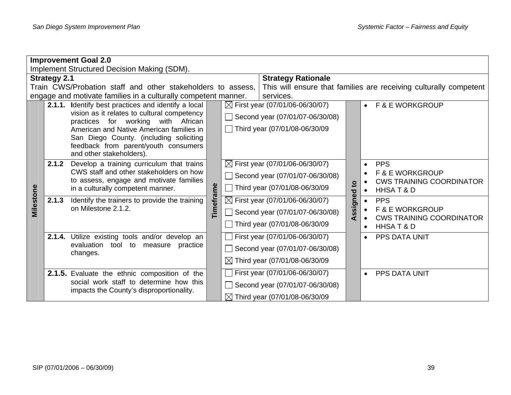|           | <b>Improvement Goal 2.0</b>                                                                                 |                                                                                   |           |                |                                            |                         |                                                                   |  |  |  |  |
|-----------|-------------------------------------------------------------------------------------------------------------|-----------------------------------------------------------------------------------|-----------|----------------|--------------------------------------------|-------------------------|-------------------------------------------------------------------|--|--|--|--|
|           |                                                                                                             | Implement Structured Decision Making (SDM).                                       |           |                |                                            |                         |                                                                   |  |  |  |  |
|           | <b>Strategy 2.1</b>                                                                                         |                                                                                   |           |                | <b>Strategy Rationale</b>                  |                         |                                                                   |  |  |  |  |
|           |                                                                                                             | Train CWS/Probation staff and other stakeholders to assess,                       |           |                |                                            |                         | This will ensure that families are receiving culturally competent |  |  |  |  |
|           |                                                                                                             | engage and motivate families in a culturally competent manner.                    |           |                | services.                                  |                         |                                                                   |  |  |  |  |
|           | 2.1.1. Identify best practices and identify a local                                                         |                                                                                   |           |                | $\boxtimes$ First year (07/01/06-06/30/07) |                         | • F&E WORKGROUP                                                   |  |  |  |  |
|           |                                                                                                             | vision as it relates to cultural competency<br>practices for working with African |           |                | Second year (07/01/07-06/30/08)            |                         |                                                                   |  |  |  |  |
|           |                                                                                                             | American and Native American families in                                          |           |                | Third year (07/01/08-06/30/09              |                         |                                                                   |  |  |  |  |
|           | San Diego County. (including soliciting<br>feedback from parent/youth consumers<br>and other stakeholders). |                                                                                   |           |                |                                            |                         |                                                                   |  |  |  |  |
|           | 2.1.2<br>Develop a training curriculum that trains<br>CWS staff and other stakeholders on how               |                                                                                   |           |                | $\boxtimes$ First year (07/01/06-06/30/07) |                         | <b>PPS</b>                                                        |  |  |  |  |
|           |                                                                                                             |                                                                                   |           |                | Second year (07/01/07-06/30/08)            |                         | <b>F &amp; E WORKGROUP</b>                                        |  |  |  |  |
|           |                                                                                                             | to assess, engage and motivate families                                           |           |                |                                            | $\overline{\mathbf{c}}$ | <b>CWS TRAINING COORDINATOR</b>                                   |  |  |  |  |
|           |                                                                                                             | in a culturally competent manner.                                                 |           |                | Third year (07/01/08-06/30/09              |                         | HHSAT&D                                                           |  |  |  |  |
|           | 2.1.3                                                                                                       | Identify the trainers to provide the training<br>on Milestone 2.1.2.              |           |                | $\boxtimes$ First year (07/01/06-06/30/07) |                         | <b>PPS</b>                                                        |  |  |  |  |
| Milestone |                                                                                                             |                                                                                   | Timeframe | $\mathbb{R}^n$ | Second year (07/01/07-06/30/08)            | ssigned<br>⋖            | <b>F &amp; E WORKGROUP</b><br><b>CWS TRAINING COORDINATOR</b>     |  |  |  |  |
|           |                                                                                                             |                                                                                   |           |                | Third year (07/01/08-06/30/09              |                         | HHSAT&D                                                           |  |  |  |  |
|           |                                                                                                             | 2.1.4. Utilize existing tools and/or develop an                                   |           |                | First year (07/01/06-06/30/07)             |                         | PPS DATA UNIT                                                     |  |  |  |  |
|           |                                                                                                             | evaluation tool to<br>measure<br>practice<br>changes.                             |           |                | Second year (07/01/07-06/30/08)            |                         |                                                                   |  |  |  |  |
|           |                                                                                                             |                                                                                   |           |                | $\boxtimes$ Third year (07/01/08-06/30/09  |                         |                                                                   |  |  |  |  |
|           |                                                                                                             | 2.1.5. Evaluate the ethnic composition of the                                     |           |                | First year (07/01/06-06/30/07)             |                         | <b>PPS DATA UNIT</b><br>$\bullet$                                 |  |  |  |  |
|           |                                                                                                             | social work staff to determine how this                                           |           |                | Second year (07/01/07-06/30/08)            |                         |                                                                   |  |  |  |  |
|           |                                                                                                             | impacts the County's disproportionality.                                          |           |                | $\boxtimes$ Third year (07/01/08-06/30/09) |                         |                                                                   |  |  |  |  |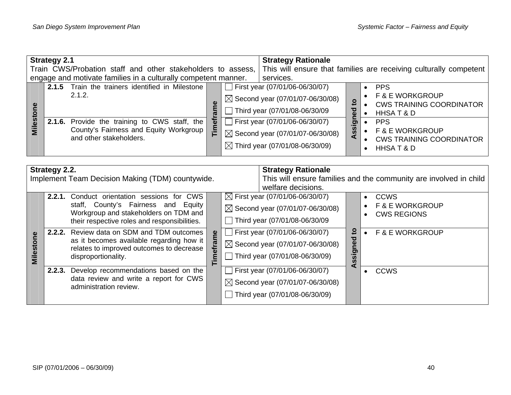|                                                             | <b>Strategy 2.1</b> |                                                                                                                                                                                  |   | <b>Strategy Rationale</b> |                                                                                                                                                                                                                                                 |                                                                   |                                                                                                                                                                                  |  |
|-------------------------------------------------------------|---------------------|----------------------------------------------------------------------------------------------------------------------------------------------------------------------------------|---|---------------------------|-------------------------------------------------------------------------------------------------------------------------------------------------------------------------------------------------------------------------------------------------|-------------------------------------------------------------------|----------------------------------------------------------------------------------------------------------------------------------------------------------------------------------|--|
| Train CWS/Probation staff and other stakeholders to assess, |                     |                                                                                                                                                                                  |   |                           |                                                                                                                                                                                                                                                 | This will ensure that families are receiving culturally competent |                                                                                                                                                                                  |  |
|                                                             |                     | engage and motivate families in a culturally competent manner.                                                                                                                   |   |                           | services.                                                                                                                                                                                                                                       |                                                                   |                                                                                                                                                                                  |  |
| <b>Milest</b>                                               |                     | 2.1.5 Train the trainers identified in Milestone<br>2.1.2.<br>2.1.6. Provide the training to CWS staff, the<br>County's Fairness and Equity Workgroup<br>and other stakeholders. | 眉 |                           | First year (07/01/06-06/30/07)<br>$\boxtimes$ Second year (07/01/07-06/30/08)<br>Third year (07/01/08-06/30/09<br>First year $(07/01/06-06/30/07)$<br>$\boxtimes$ Second year (07/01/07-06/30/08)<br>$\boxtimes$ Third year (07/01/08-06/30/09) | $\overline{5}$<br>▿<br>$\bar{\mathbf{a}}$<br>ರಾ<br>SS<br>⋖        | <b>PPS</b><br><b>F &amp; E WORKGROUP</b><br><b>CWS TRAINING COORDINATOR</b><br>HHSAT&D<br><b>PPS</b><br><b>F &amp; E WORKGROUP</b><br><b>CWS TRAINING COORDINATOR</b><br>HHSAT&D |  |

|                     | Strategy 2.2. |                                                                                                                                                                      | <b>Strategy Rationale</b> |                                                                                                                                                  |                                                                   |                                                                 |  |  |
|---------------------|---------------|----------------------------------------------------------------------------------------------------------------------------------------------------------------------|---------------------------|--------------------------------------------------------------------------------------------------------------------------------------------------|-------------------------------------------------------------------|-----------------------------------------------------------------|--|--|
|                     |               | Implement Team Decision Making (TDM) countywide.                                                                                                                     |                           |                                                                                                                                                  | This will ensure families and the community are involved in child |                                                                 |  |  |
|                     | 2.2.1.        | Conduct orientation sessions for CWS<br>staff, County's Fairness and Equity<br>Workgroup and stakeholders on TDM and<br>their respective roles and responsibilities. |                           | welfare decisions.<br>$\boxtimes$ First year (07/01/06-06/30/07)<br>$\boxtimes$ Second year (07/01/07-06/30/08)<br>Third year (07/01/08-06/30/09 |                                                                   | <b>CCWS</b><br><b>F &amp; E WORKGROUP</b><br><b>CWS REGIONS</b> |  |  |
| <u>ဇ</u><br>Milesto |               | <b>2.2.2.</b> Review data on SDM and TDM outcomes<br>as it becomes available regarding how it<br>relates to improved outcomes to decrease<br>disproportionality.     | rame<br>5<br>Ξ.           | First year (07/01/06-06/30/07)<br>$\boxtimes$ Second year (07/01/07-06/30/08)<br>Third year (07/01/08-06/30/09)                                  | 요<br>ъ<br>Φ<br>ರಾ<br>n,                                           | <b>F &amp; E WORKGROUP</b>                                      |  |  |
|                     |               | 2.2.3. Develop recommendations based on the<br>data review and write a report for CWS<br>administration review.                                                      |                           | First year (07/01/06-06/30/07)<br>$\boxtimes$ Second year (07/01/07-06/30/08)<br>Third year (07/01/08-06/30/09)                                  | đ                                                                 | <b>CCWS</b>                                                     |  |  |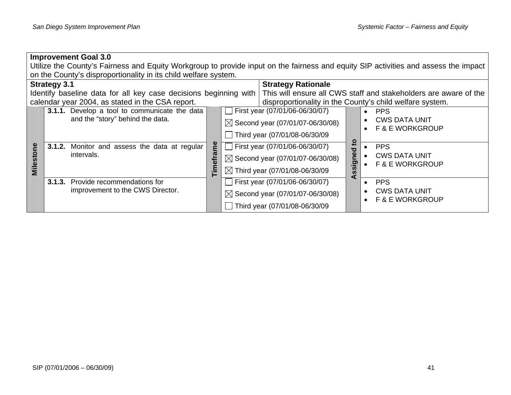|           | <b>Improvement Goal 3.0</b> |                                                                  |        |                                |                                             |        |                                                                                                                                     |  |  |  |  |  |
|-----------|-----------------------------|------------------------------------------------------------------|--------|--------------------------------|---------------------------------------------|--------|-------------------------------------------------------------------------------------------------------------------------------------|--|--|--|--|--|
|           |                             |                                                                  |        |                                |                                             |        | Utilize the County's Fairness and Equity Workgroup to provide input on the fairness and equity SIP activities and assess the impact |  |  |  |  |  |
|           |                             | on the County's disproportionality in its child welfare system.  |        |                                |                                             |        |                                                                                                                                     |  |  |  |  |  |
|           | <b>Strategy 3.1</b>         |                                                                  |        |                                | <b>Strategy Rationale</b>                   |        |                                                                                                                                     |  |  |  |  |  |
|           |                             | Identify baseline data for all key case decisions beginning with |        |                                |                                             |        | This will ensure all CWS staff and stakeholders are aware of the                                                                    |  |  |  |  |  |
|           |                             | calendar year 2004, as stated in the CSA report.                 |        |                                |                                             |        | disproportionality in the County's child welfare system.                                                                            |  |  |  |  |  |
|           |                             | 3.1.1. Develop a tool to communicate the data                    |        |                                | First year (07/01/06-06/30/07)              |        | <b>PPS</b>                                                                                                                          |  |  |  |  |  |
|           |                             | and the "story" behind the data.                                 |        |                                | $\boxtimes$ Second year (07/01/07-06/30/08) |        | <b>CWS DATA UNIT</b>                                                                                                                |  |  |  |  |  |
|           |                             |                                                                  |        |                                |                                             |        | <b>F &amp; E WORKGROUP</b>                                                                                                          |  |  |  |  |  |
|           |                             |                                                                  |        |                                | Third year (07/01/08-06/30/09               |        |                                                                                                                                     |  |  |  |  |  |
|           |                             | 3.1.2. Monitor and assess the data at regular                    | e<br>E | First year (07/01/06-06/30/07) |                                             | ៓៝     | <b>PPS</b>                                                                                                                          |  |  |  |  |  |
| Milestone |                             | intervals.                                                       |        |                                | $\boxtimes$ Second year (07/01/07-06/30/08) | signed | <b>CWS DATA UNIT</b>                                                                                                                |  |  |  |  |  |
|           |                             |                                                                  |        |                                |                                             |        | <b>F &amp; E WORKGROUP</b>                                                                                                          |  |  |  |  |  |
|           |                             |                                                                  |        |                                | $\boxtimes$ Third year (07/01/08-06/30/09   | S.     |                                                                                                                                     |  |  |  |  |  |
|           | 3.1.3.                      | Provide recommendations for                                      |        |                                | First year (07/01/06-06/30/07)              | ⋖      | <b>PPS</b>                                                                                                                          |  |  |  |  |  |
|           |                             | improvement to the CWS Director.                                 |        |                                | $\boxtimes$ Second year (07/01/07-06/30/08) |        | <b>CWS DATA UNIT</b>                                                                                                                |  |  |  |  |  |
|           |                             |                                                                  |        |                                |                                             |        | <b>F &amp; E WORKGROUP</b>                                                                                                          |  |  |  |  |  |
|           |                             |                                                                  |        |                                | Third year (07/01/08-06/30/09               |        |                                                                                                                                     |  |  |  |  |  |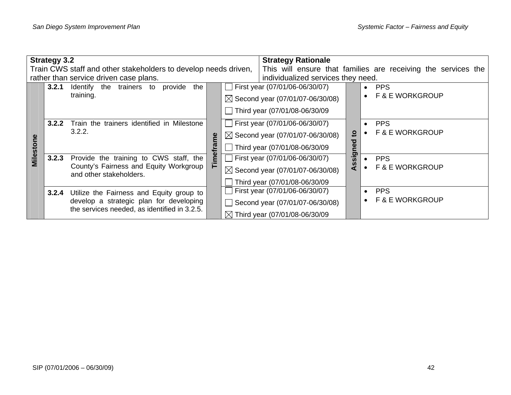| <b>Strategy 3.2</b><br>Train CWS staff and other stakeholders to develop needs driven, |       |                                                                                                                                     |        |                        | <b>Strategy Rationale</b>                                                                                             |         | This will ensure that families are receiving the services the |  |
|----------------------------------------------------------------------------------------|-------|-------------------------------------------------------------------------------------------------------------------------------------|--------|------------------------|-----------------------------------------------------------------------------------------------------------------------|---------|---------------------------------------------------------------|--|
|                                                                                        |       | rather than service driven case plans.                                                                                              |        |                        | individualized services they need.                                                                                    |         |                                                               |  |
|                                                                                        | 3.2.1 | Identify the trainers to<br>provide<br>the<br>training.                                                                             |        | $\mathbf{L}$           | First year (07/01/06-06/30/07)<br>$\boxtimes$ Second year (07/01/07-06/30/08)<br>Third year (07/01/08-06/30/09        |         | <b>PPS</b><br>$\bullet$<br><b>F &amp; E WORKGROUP</b>         |  |
| Villesto                                                                               | 3.2.2 | Train the trainers identified in Milestone<br>3.2.2.                                                                                |        | $\mathbf{L}$<br>$\Box$ | First year (07/01/06-06/30/07)<br>$\boxtimes$ Second year (07/01/07-06/30/08)<br>Third year (07/01/08-06/30/09        | ខ្<br>Φ | <b>PPS</b><br><b>F &amp; E WORKGROUP</b>                      |  |
|                                                                                        | 3.2.3 | Provide the training to CWS staff, the<br>County's Fairness and Equity Workgroup<br>and other stakeholders.                         | Timefr |                        | $\Box$ First year (07/01/06-06/30/07)<br>$\boxtimes$ Second year (07/01/07-06/30/08)<br>Third year (07/01/08-06/30/09 | ssig    | <b>PPS</b><br><b>F &amp; E WORKGROUP</b>                      |  |
|                                                                                        | 3.2.4 | Utilize the Fairness and Equity group to<br>develop a strategic plan for developing<br>the services needed, as identified in 3.2.5. |        |                        | First year (07/01/06-06/30/07)<br>Second year (07/01/07-06/30/08)<br>$\boxtimes$ Third year (07/01/08-06/30/09)       |         | <b>PPS</b><br><b>F &amp; E WORKGROUP</b>                      |  |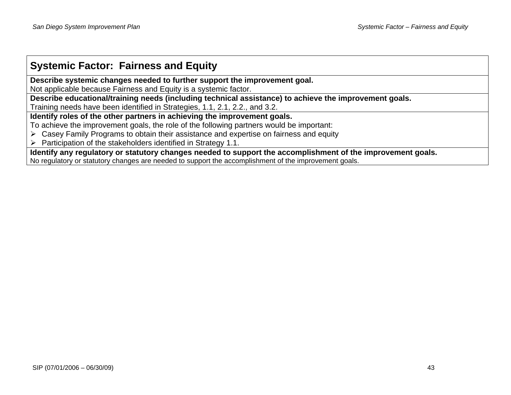# **Systemic Factor: Fairness and Equity**

**Describe systemic changes needed to further support the improvement goal.** 

Not applicable because Fairness and Equity is a systemic factor.

**Describe educational/training needs (including technical assistance) to achieve the improvement goals.** 

Training needs have been identified in Strategies, 1.1, 2.1, 2.2., and 3.2.

**Identify roles of the other partners in achieving the improvement goals.** 

To achieve the improvement goals, the role of the following partners would be important:

 $\triangleright$  Casey Family Programs to obtain their assistance and expertise on fairness and equity

 $\triangleright$  Participation of the stakeholders identified in Strategy 1.1.

**Identify any regulatory or statutory changes needed to support the accomplishment of the improvement goals.** 

No regulatory or statutory changes are needed to support the accomplishment of the improvement goals.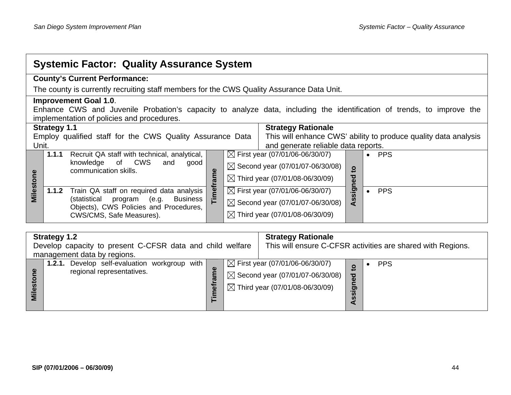| <b>Systemic Factor: Quality Assurance System</b>                                          |                                                                                                                       |  |  |  |  |  |  |  |  |
|-------------------------------------------------------------------------------------------|-----------------------------------------------------------------------------------------------------------------------|--|--|--|--|--|--|--|--|
| <b>County's Current Performance:</b>                                                      |                                                                                                                       |  |  |  |  |  |  |  |  |
| The county is currently recruiting staff members for the CWS Quality Assurance Data Unit. |                                                                                                                       |  |  |  |  |  |  |  |  |
| <b>Improvement Goal 1.0.</b>                                                              |                                                                                                                       |  |  |  |  |  |  |  |  |
|                                                                                           | Enhance CWS and Juvenile Probation's capacity to analyze data, including the identification of trends, to improve the |  |  |  |  |  |  |  |  |
| implementation of policies and procedures.                                                |                                                                                                                       |  |  |  |  |  |  |  |  |
|                                                                                           | <b>Strategy Rationale</b><br><b>Strategy 1.1</b>                                                                      |  |  |  |  |  |  |  |  |
| Employ qualified staff for the CWS Quality Assurance Data                                 | This will enhance CWS' ability to produce quality data analysis                                                       |  |  |  |  |  |  |  |  |
| Unit.                                                                                     | and generate reliable data reports.                                                                                   |  |  |  |  |  |  |  |  |
| 1.1.1<br>Recruit QA staff with technical, analytical,                                     | $\boxtimes$ First year (07/01/06-06/30/07)<br><b>PPS</b><br>$\bullet$                                                 |  |  |  |  |  |  |  |  |
| <b>CWS</b><br>knowledge<br>of<br>and<br>good                                              | $\boxtimes$ Second year (07/01/07-06/30/08)                                                                           |  |  |  |  |  |  |  |  |
| communication skills.<br>ame                                                              | $\mathbf{S}$<br>ठ                                                                                                     |  |  |  |  |  |  |  |  |
|                                                                                           | $\boxtimes$ Third year (07/01/08-06/30/09)<br>$\bullet$<br>⊆                                                          |  |  |  |  |  |  |  |  |
| Milestone<br>Timefra<br>1.1.2<br>Train QA staff on required data analysis                 | sig<br>$\boxtimes$ First year (07/01/06-06/30/07)<br><b>PPS</b>                                                       |  |  |  |  |  |  |  |  |
| (statistical<br>(e.g. Business<br>program                                                 | ທ<br>$\boxtimes$ Second year (07/01/07-06/30/08)                                                                      |  |  |  |  |  |  |  |  |
| Objects), CWS Policies and Procedures,                                                    | ◀                                                                                                                     |  |  |  |  |  |  |  |  |
| CWS/CMS, Safe Measures).                                                                  | $\boxtimes$ Third year (07/01/08-06/30/09)                                                                            |  |  |  |  |  |  |  |  |
|                                                                                           |                                                                                                                       |  |  |  |  |  |  |  |  |

| <b>Strategy 1.2</b><br>Develop capacity to present C-CFSR data and child welfare  |                  | <b>Strategy Rationale</b><br>This will ensure C-CFSR activities are shared with Regions. |                                                                                                                                         |                          |            |
|-----------------------------------------------------------------------------------|------------------|------------------------------------------------------------------------------------------|-----------------------------------------------------------------------------------------------------------------------------------------|--------------------------|------------|
| management data by regions.                                                       |                  |                                                                                          |                                                                                                                                         |                          |            |
| <b>1.2.1.</b> Develop self-evaluation workgroup with<br>regional representatives. | Φ<br>፟፟፟፟፟፟፟፟፟፟፟ |                                                                                          | $\boxtimes$ First year (07/01/06-06/30/07)<br>$\boxtimes$ Second year (07/01/07-06/30/08)<br>$\boxtimes$ Third year (07/01/08-06/30/09) | $\overline{\sigma}$<br>ត | <b>PPS</b> |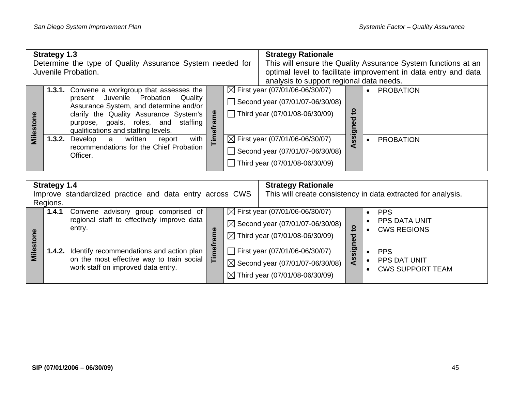| <b>Strategy 1.3</b><br>Determine the type of Quality Assurance System needed for<br>Juvenile Probation. |  |                                                                                                                                                                                                                                                             | <b>Strategy Rationale</b><br>This will ensure the Quality Assurance System functions at an<br>optimal level to facilitate improvement in data entry and data<br>analysis to support regional data needs. |                                                                                                                 |                                                                                                                 |                                 |                  |
|---------------------------------------------------------------------------------------------------------|--|-------------------------------------------------------------------------------------------------------------------------------------------------------------------------------------------------------------------------------------------------------------|----------------------------------------------------------------------------------------------------------------------------------------------------------------------------------------------------------|-----------------------------------------------------------------------------------------------------------------|-----------------------------------------------------------------------------------------------------------------|---------------------------------|------------------|
| Milestor                                                                                                |  | <b>1.3.1.</b> Convene a workgroup that assesses the<br>present Juvenile Probation Quality<br>Assurance System, and determine and/or<br>clarify the Quality Assurance System's<br>purpose, goals, roles, and staffing<br>qualifications and staffing levels. | Ъ                                                                                                                                                                                                        |                                                                                                                 | $\boxtimes$ First year (07/01/06-06/30/07)<br>Second year (07/01/07-06/30/08)<br>Third year (07/01/08-06/30/09) | <u>و</u><br>ठ<br><u>e</u><br>ರಾ | <b>PROBATION</b> |
|                                                                                                         |  | with<br><b>1.3.2.</b> Develop<br>written<br>a<br>report<br>recommendations for the Chief Probation<br>Officer.                                                                                                                                              | Ě                                                                                                                                                                                                        | $\boxtimes$ First year (07/01/06-06/30/07)<br>Second year (07/01/07-06/30/08)<br>Third year (07/01/08-06/30/09) |                                                                                                                 | ၷ                               | <b>PROBATION</b> |

| <b>Strategy 1.4</b>                                                 |       |                                                                                                                                           |                                                              | <b>Strategy Rationale</b> |                                                                                                                                         |                 |                                                          |
|---------------------------------------------------------------------|-------|-------------------------------------------------------------------------------------------------------------------------------------------|--------------------------------------------------------------|---------------------------|-----------------------------------------------------------------------------------------------------------------------------------------|-----------------|----------------------------------------------------------|
| Improve standardized practice and data entry across CWS<br>Regions. |       |                                                                                                                                           | This will create consistency in data extracted for analysis. |                           |                                                                                                                                         |                 |                                                          |
| ω                                                                   | 1.4.1 | Convene advisory group comprised of<br>regional staff to effectively improve data<br>entry.                                               |                                                              |                           | $\boxtimes$ First year (07/01/06-06/30/07)<br>$\boxtimes$ Second year (07/01/07-06/30/08)<br>$\boxtimes$ Third year (07/01/08-06/30/09) | ខ្<br>ठ<br>Φ    | <b>PPS</b><br><b>PPS DATA UNIT</b><br><b>CWS REGIONS</b> |
| Milesto                                                             |       | <b>1.4.2.</b> Identify recommendations and action plan<br>on the most effective way to train social<br>work staff on improved data entry. | Ë                                                            |                           | $\Box$ First year (07/01/06-06/30/07)<br>$\boxtimes$ Second year (07/01/07-06/30/08)<br>$\boxtimes$ Third year (07/01/08-06/30/09)      | gis<br><b>S</b> | <b>PPS</b><br>PPS DAT UNIT<br><b>CWS SUPPORT TEAM</b>    |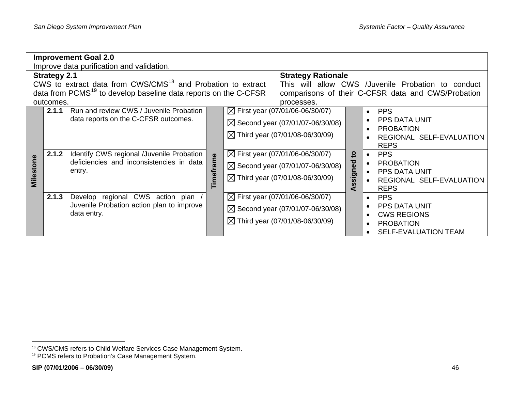|           |                     | <b>Improvement Goal 2.0</b><br>Improve data purification and validation.                                                                                                           |           |                                                                                                                                                                                                                                                                                    |                |                                                                                                                                                                                                                           |
|-----------|---------------------|------------------------------------------------------------------------------------------------------------------------------------------------------------------------------------|-----------|------------------------------------------------------------------------------------------------------------------------------------------------------------------------------------------------------------------------------------------------------------------------------------|----------------|---------------------------------------------------------------------------------------------------------------------------------------------------------------------------------------------------------------------------|
|           | <b>Strategy 2.1</b> | CWS to extract data from CWS/CMS <sup>18</sup> and Probation to extract                                                                                                            |           | <b>Strategy Rationale</b><br>This will allow CWS /Juvenile Probation to conduct                                                                                                                                                                                                    |                |                                                                                                                                                                                                                           |
|           | outcomes.           | data from PCMS <sup>19</sup> to develop baseline data reports on the C-CFSR                                                                                                        |           | processes.                                                                                                                                                                                                                                                                         |                | comparisons of their C-CFSR data and CWS/Probation                                                                                                                                                                        |
| Milestone | 2.1.1<br>2.1.2      | Run and review CWS / Juvenile Probation<br>data reports on the C-CFSR outcomes.<br>Identify CWS regional /Juvenile Probation<br>deficiencies and inconsistencies in data<br>entry. | Timeframe | $\boxtimes$ First year (07/01/06-06/30/07)<br>$\boxtimes$ Second year (07/01/07-06/30/08)<br>$\boxtimes$ Third year (07/01/08-06/30/09)<br>$\boxtimes$ First year (07/01/06-06/30/07)<br>$\boxtimes$ Second year (07/01/07-06/30/08)<br>$\boxtimes$ Third year (07/01/08-06/30/09) | ខ្<br>Assigned | <b>PPS</b><br>$\bullet$<br><b>PPS DATA UNIT</b><br><b>PROBATION</b><br>REGIONAL SELF-EVALUATION<br><b>REPS</b><br><b>PPS</b><br>$\bullet$<br><b>PROBATION</b><br>PPS DATA UNIT<br>REGIONAL SELF-EVALUATION<br><b>REPS</b> |
|           | 2.1.3               | regional CWS action plan<br>Develop<br>Juvenile Probation action plan to improve<br>data entry.                                                                                    |           | $\boxtimes$ First year (07/01/06-06/30/07)<br>$\boxtimes$ Second year (07/01/07-06/30/08)<br>$\boxtimes$ Third year (07/01/08-06/30/09)                                                                                                                                            |                | <b>PPS</b><br><b>PPS DATA UNIT</b><br><b>CWS REGIONS</b><br><b>PROBATION</b><br><b>SELF-EVALUATION TEAM</b>                                                                                                               |

<span id="page-51-1"></span><span id="page-51-0"></span><sup>&</sup>lt;sup>18</sup> CWS/CMS refers to Child Welfare Services Case Management System.

<sup>&</sup>lt;sup>19</sup> PCMS refers to Probation's Case Management System.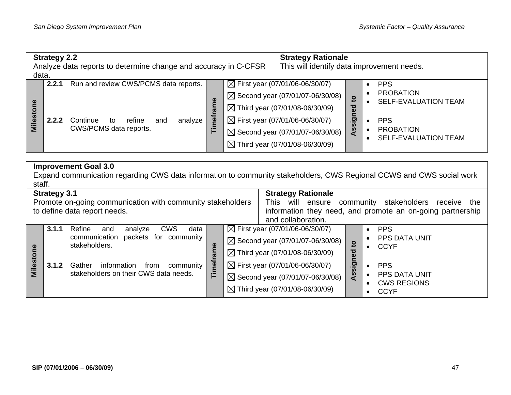| data.           | <b>Strategy 2.2</b> | Analyze data reports to determine change and accuracy in C-CFSR      |           |                                                                                                                                         | <b>Strategy Rationale</b><br>This will identify data improvement needs.                                                                 |                        |                                                               |
|-----------------|---------------------|----------------------------------------------------------------------|-----------|-----------------------------------------------------------------------------------------------------------------------------------------|-----------------------------------------------------------------------------------------------------------------------------------------|------------------------|---------------------------------------------------------------|
|                 | 2.2.1               | Run and review CWS/PCMS data reports.                                | ಹ         |                                                                                                                                         | $\boxtimes$ First year (07/01/06-06/30/07)<br>$\boxtimes$ Second year (07/01/07-06/30/08)<br>$\boxtimes$ Third year (07/01/08-06/30/09) |                        | <b>PPS</b><br><b>PROBATION</b><br><b>SELF-EVALUATION TEAM</b> |
| <b>Milestor</b> | 2.2.2               | Continue<br>analyze<br>refine<br>and<br>to<br>CWS/PCMS data reports. | mefl<br>⊢ | $\boxtimes$ First year (07/01/06-06/30/07)<br>$\boxtimes$ Second year (07/01/07-06/30/08)<br>$\boxtimes$ Third year (07/01/08-06/30/09) |                                                                                                                                         | <u>ဗ</u><br>ַפ<br>Assi | <b>PPS</b><br><b>PROBATION</b><br><b>SELF-EVALUATION TEAM</b> |

| staff.    |                     | <b>Improvement Goal 3.0</b><br>Expand communication regarding CWS data information to community stakeholders, CWS Regional CCWS and CWS social work |        |                                             |                                             |                     |                                                            |
|-----------|---------------------|-----------------------------------------------------------------------------------------------------------------------------------------------------|--------|---------------------------------------------|---------------------------------------------|---------------------|------------------------------------------------------------|
|           | <b>Strategy 3.1</b> |                                                                                                                                                     |        |                                             | <b>Strategy Rationale</b>                   |                     |                                                            |
|           |                     | Promote on-going communication with community stakeholders                                                                                          |        |                                             | This will ensure                            |                     | stakeholders<br>community<br>receive<br>the                |
|           |                     | to define data report needs.                                                                                                                        |        |                                             |                                             |                     | information they need, and promote an on-going partnership |
|           |                     |                                                                                                                                                     |        |                                             | and collaboration.                          |                     |                                                            |
|           | 3.1.1               | Refine<br><b>CWS</b><br>data<br>analyze<br>and                                                                                                      |        |                                             | $\boxtimes$ First year (07/01/06-06/30/07)  |                     | <b>PPS</b>                                                 |
|           |                     | packets for community<br>communication<br>stakeholders.                                                                                             |        |                                             | $\boxtimes$ Second year (07/01/07-06/30/08) |                     | PPS DATA UNIT                                              |
| Milestone |                     |                                                                                                                                                     | rame   |                                             | $\boxtimes$ Third year (07/01/08-06/30/09)  | $\mathbf{S}$<br>್ಠಾ | <b>CCYF</b>                                                |
|           | 3.1.2               | Gather<br>information<br>community<br>from                                                                                                          |        |                                             | $\boxtimes$ First year (07/01/06-06/30/07)  | igis                | <b>PPS</b>                                                 |
|           |                     | stakeholders on their CWS data needs.                                                                                                               | Timefr | $\boxtimes$ Second year (07/01/07-06/30/08) |                                             | <b>S</b>            | <b>PPS DATA UNIT</b><br><b>CWS REGIONS</b>                 |
|           |                     |                                                                                                                                                     |        |                                             | $\boxtimes$ Third year (07/01/08-06/30/09)  |                     | <b>CCYF</b>                                                |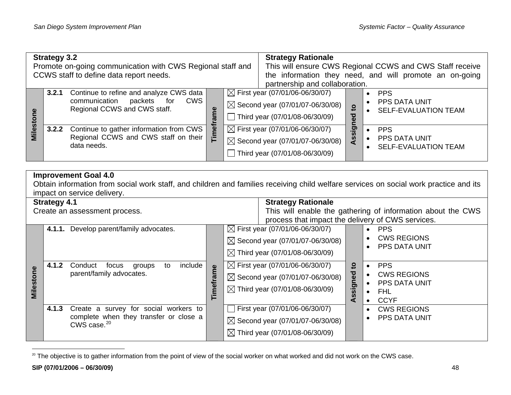| <b>Strategy 3.2</b><br>Promote on-going communication with CWS Regional staff and<br>CCWS staff to define data report needs. |       |                                                                                                                |        |  | <b>Strategy Rationale</b><br>This will ensure CWS Regional CCWS and CWS Staff receive<br>the information they need, and will promote an on-going<br>partnership and collaboration. |                 |                                                            |
|------------------------------------------------------------------------------------------------------------------------------|-------|----------------------------------------------------------------------------------------------------------------|--------|--|------------------------------------------------------------------------------------------------------------------------------------------------------------------------------------|-----------------|------------------------------------------------------------|
|                                                                                                                              | 3.2.1 | Continue to refine and analyze CWS data<br>communication<br>CWS<br>packets for<br>Regional CCWS and CWS staff. |        |  | $\boxtimes$ First year (07/01/06-06/30/07)<br>$\boxtimes$ Second year (07/01/07-06/30/08)<br>Third year (07/01/08-06/30/09)                                                        | <u>ទ</u><br>ठ   | <b>PPS</b><br>PPS DATA UNIT<br><b>SELF-EVALUATION TEAM</b> |
| Milest                                                                                                                       | 3.2.2 | Continue to gather information from CWS<br>Regional CCWS and CWS staff on their<br>data needs.                 | ≌<br>Ē |  | $\boxtimes$ First year (07/01/06-06/30/07)<br>$\boxtimes$ Second year (07/01/07-06/30/08)<br>Third year (07/01/08-06/30/09)                                                        | <u>.ഈ</u><br>SS | <b>PPS</b><br>PPS DATA UNIT<br><b>SELF-EVALUATION TEAM</b> |

#### **Improvement Goal 4.0**

Obtain information from social work staff, and children and families receiving child welfare services on social work practice and its impact on service delivery.

| <b>Strategy 4.1</b> |                                                                                  |                                                          |                                            | <b>Strategy Rationale</b>                                   |            |                                    |  |  |
|---------------------|----------------------------------------------------------------------------------|----------------------------------------------------------|--------------------------------------------|-------------------------------------------------------------|------------|------------------------------------|--|--|
|                     |                                                                                  | Create an assessment process.                            |                                            | This will enable the gathering of information about the CWS |            |                                    |  |  |
|                     |                                                                                  |                                                          |                                            | process that impact the delivery of CWS services.           |            |                                    |  |  |
|                     | 4.1.1.                                                                           | Develop parent/family advocates.                         |                                            | $\boxtimes$ First year (07/01/06-06/30/07)                  |            | <b>PPS</b>                         |  |  |
|                     |                                                                                  |                                                          |                                            | $\boxtimes$ Second year (07/01/07-06/30/08)                 |            | <b>CWS REGIONS</b>                 |  |  |
|                     | include<br>Conduct<br>4.1.2<br>focus<br>groups<br>to<br>parent/family advocates. |                                                          |                                            | $\boxtimes$ Third year (07/01/08-06/30/09)                  |            | PPS DATA UNIT                      |  |  |
|                     |                                                                                  |                                                          | $\boxtimes$ First year (07/01/06-06/30/07) | 요                                                           | <b>PPS</b> |                                    |  |  |
| Milestone           |                                                                                  |                                                          | rame<br>Timefr                             | $\boxtimes$ Second year (07/01/07-06/30/08)                 | ್ಠಾ        | <b>CWS REGIONS</b>                 |  |  |
|                     |                                                                                  |                                                          |                                            | $\boxtimes$ Third year (07/01/08-06/30/09)                  | signe      | <b>PPS DATA UNIT</b><br><b>FHL</b> |  |  |
|                     |                                                                                  |                                                          |                                            |                                                             | ທ<br>⋖     | <b>CCYF</b>                        |  |  |
|                     | 4.1.3                                                                            | Create a survey for social workers to                    |                                            | First year (07/01/06-06/30/07)                              |            | <b>CWS REGIONS</b>                 |  |  |
|                     |                                                                                  | complete when they transfer or close a<br>CWS case. $20$ |                                            | $\boxtimes$ Second year (07/01/07-06/30/08)                 |            | <b>PPS DATA UNIT</b>               |  |  |
|                     |                                                                                  |                                                          |                                            | $\boxtimes$ Third year (07/01/08-06/30/09)                  |            |                                    |  |  |
|                     |                                                                                  |                                                          |                                            |                                                             |            |                                    |  |  |

<span id="page-53-0"></span><sup>&</sup>lt;sup>20</sup> The objective is to gather information from the point of view of the social worker on what worked and did not work on the CWS case.